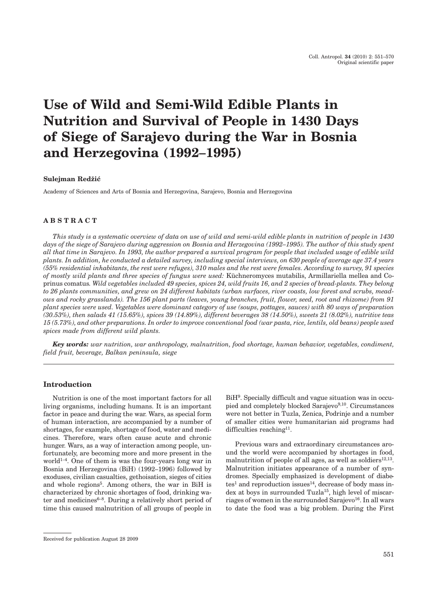# **Use of Wild and Semi-Wild Edible Plants in Nutrition and Survival of People in 1430 Days of Siege of Sarajevo during the War in Bosnia and Herzegovina (1992–1995)**

# **Sulejman Redžić**

Academy of Sciences and Arts of Bosnia and Herzegovina, Sarajevo, Bosnia and Herzegovina

# **ABSTRACT**

*This study is a systematic overview of data on use of wild and semi-wild edible plants in nutrition of people in 1430 days of the siege of Sarajevo during aggression on Bosnia and Herzegovina (1992–1995). The author of this study spent all that time in Sarajevo. In 1993, the author prepared a survival program for people that included usage of edible wild plants. In addition, he conducted a detailed survey, including special interviews, on 630 people of average age 37.4 years (55% residential inhabitants, the rest were refuges), 310 males and the rest were females. According to survey, 91 species of mostly wild plants and three species of fungus were used:* Küchneromyces mutabilis, Armillariella mellea and Coprinus comatus*. Wild vegetables included 49 species, spices 24, wild fruits 16, and 2 species of bread-plants. They belong to 26 plants communities, and grew on 24 different habitats (urban surfaces, river coasts, low forest and scrubs, meadows and rocky grasslands). The 156 plant parts (leaves, young branches, fruit, flower, seed, root and rhizome) from 91 plant species were used. Vegetables were dominant category of use (soups, pottages, sauces) with 80 ways of preparation (30.53%), then salads 41 (15.65%), spices 39 (14.89%), different beverages 38 (14.50%), sweets 21 (8.02%), nutritive teas 15 (5.73%), and other preparations. In order to improve conventional food (war pasta, rice, lentils, old beans) people used spices made from different wild plants.*

*Key words: war nutrition, war anthropology, malnutrition, food shortage, human behavior, vegetables, condiment, field fruit, beverage, Balkan peninsula, siege*

# **Introduction**

Nutrition is one of the most important factors for all living organisms, including humans. It is an important factor in peace and during the war. Wars, as special form of human interaction, are accompanied by a number of shortages, for example, shortage of food, water and medicines. Therefore, wars often cause acute and chronic hunger. Wars, as a way of interaction among people, unfortunately, are becoming more and more present in the world<sup>1-4</sup>. One of them is was the four-years long war in Bosnia and Herzegovina (BiH) (1992–1996) followed by exoduses, civilian casualties, gethoisation, sieges of cities and whole regions<sup>5</sup>. Among others, the war in BiH is characterized by chronic shortages of food, drinking water and medicines<sup>6-8</sup>. During a relatively short period of time this caused malnutrition of all groups of people in

Previous wars and extraordinary circumstances around the world were accompanied by shortages in food, malnutrition of people of all ages, as well as soldiers<sup>12,13</sup>. Malnutrition initiates appearance of a number of syndromes. Specially emphasized is development of diabe $tes<sup>1</sup>$  and reproduction issues<sup>14</sup>, decrease of body mass index at boys in surrounded Tuzla<sup>15</sup>, high level of miscarriages of women in the surrounded Sarajevo<sup>16</sup>. In all wars to date the food was a big problem. During the First

BiH9. Specially difficult and vague situation was in occupied and completely blocked Sarajevo $9,10$ . Circumstances were not better in Tuzla, Zenica, Podrinje and a number of smaller cities were humanitarian aid programs had difficulties reaching<sup>11</sup>.

Received for publication August 28 2009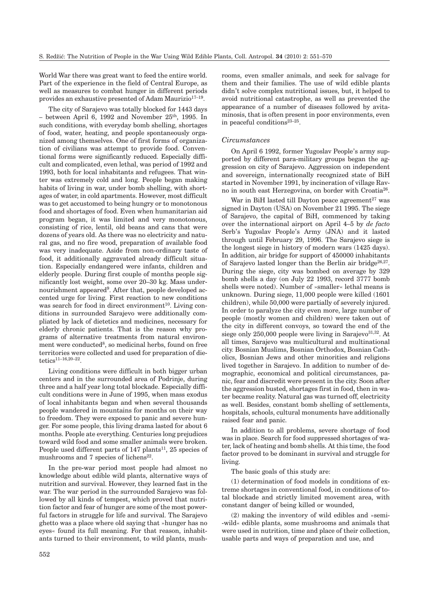World War there was great want to feed the entire world. Part of the experience in the field of Central Europe, as well as measures to combat hunger in different periods provides an exhaustive presented of Adam Maurizio<sup>17-19</sup>.

The city of Sarajevo was totally blocked for 1443 days  $-$  between April 6, 1992 and November 25<sup>th</sup>, 1995. In such conditions, with everyday bomb shelling, shortages of food, water, heating, and people spontaneously organized among themselves. One of first forms of organization of civilians was attempt to provide food. Conventional forms were significantly reduced. Especially difficult and complicated, even lethal, was period of 1992 and 1993, both for local inhabitants and refugees. That winter was extremely cold and long. People began making habits of living in war, under bomb shelling, with shortages of water, in cold apartments. However, most difficult was to get accustomed to being hungry or to monotonous food and shortages of food. Even when humanitarian aid program began, it was limited and very monotonous, consisting of rice, lentil, old beans and cans that were dozens of years old. As there was no electricity and natural gas, and no fire wood, preparation of available food was very inadequate. Aside from non-ordinary taste of food, it additionally aggravated already difficult situation. Especially endangered were infants, children and elderly people. During first couple of months people significantly lost weight, some over 20–30 kg. Mass undernourishment appeared<sup>9</sup>. After that, people developed accented urge for living. First reaction to new conditions was search for food in direct environment<sup>10</sup>. Living conditions in surrounded Sarajevo were additionally compliated by lack of dietetics and medicines, necessary for elderly chronic patients. That is the reason why programs of alternative treatments from natural environment were conducted<sup>8</sup>, so medicinal herbs, found on free territories were collected and used for preparation of dietetics<br> $^{\mathrm{11-16,20-22}}$ 

Living conditions were difficult in both bigger urban centers and in the surrounded area of Podrinje, during three and a half year long total blockade. Especially difficult conditions were in June of 1995, when mass exodus of local inhabitants began and when several thousands people wandered in mountains for months on their way to freedom. They were exposed to panic and severe hunger. For some people, this living drama lasted for about 6 months. People ate everything. Centuries long prejudices toward wild food and some smaller animals were broken. People used different parts of  $147$  plants<sup>11</sup>, 25 species of mushrooms and 7 species of lichens $22$ .

In the pre-war period most people had almost no knowledge about edible wild plants, alternative ways of nutrition and survival. However, they learned fast in the war. The war period in the surrounded Sarajevo was followed by all kinds of tempest, which proved that nutrition factor and fear of hunger are some of the most powerful factors in struggle for life and survival. The Sarajevo ghetto was a place where old saying that »hunger has no eyes« found its full meaning. For that reason, inhabitants turned to their environment, to wild plants, mushrooms, even smaller animals, and seek for salvage for them and their families. The use of wild edible plants didn't solve complex nutritional issues, but, it helped to avoid nutritional catastrophe, as well as prevented the appearance of a number of diseases followed by avitaminosis, that is often present in poor environments, even in peaceful conditions23–25.

## *Circumstances*

On April 6 1992, former Yugoslav People's army supported by different para-military groups began the aggression on city of Sarajevo. Aggression on independent and sovereign, internationally recognized state of BiH started in November 1991, by incineration of village Ravno in south east Herzegovina, on border with Croatia26.

War in BiH lasted till Dayton peace agreement $27$  was signed in Dayton (USA) on November 21 1995. The siege of Sarajevo, the capital of BiH, commenced by taking over the international airport on April 4–5 by *de facto* Serb's Yugoslav People's Army (JNA) and it lasted through until February 29, 1996. The Sarajevo siege is the longest siege in history of modern wars (1425 days). In addition, air bridge for support of 450000 inhabitants of Sarajevo lasted longer than the Berlin air bridge<sup>26,27</sup>. During the siege, city was bombed on average by 329 bomb shells a day (on July 22 1993, record 3777 bomb shells were noted). Number of »smaller« lethal means is unknown. During siege, 11,000 people were killed (1601 children), while 50,000 were partially of severely injured. In order to paralyze the city even more, large number of people (mostly women and children) were taken out of the city in different convoys, so toward the end of the siege only 250,000 people were living in Sarajevo $^{31,32}$ . At all times, Sarajevo was multicultural and multinational city. Bosnian Muslims, Bosnian Orthodox, Bosnian Catholics, Bosnian Jews and other minorities and religions lived together in Sarajevo. In addition to number of demographic, economical and political circumstances, panic, fear and discredit were present in the city. Soon after the aggression busted, shortages first in food, then in water became reality. Natural gas was turned off, electricity as well. Besides, constant bomb shelling of settlements, hospitals, schools, cultural monuments have additionally raised fear and panic.

In addition to all problems, severe shortage of food was in place. Search for food suppressed shortages of water, lack of heating and bomb shells. At this time, the food factor proved to be dominant in survival and struggle for living.

The basic goals of this study are:

(1) determination of food models in conditions of extreme shortages in conventional food, in conditions of total blockade and strictly limited movement area, with constant danger of being killed or wounded,

(2) making the inventory of wild edibles and »semi- -wild« edible plants, some mushrooms and animals that were used in nutrition, time and place of their collection, usable parts and ways of preparation and use, and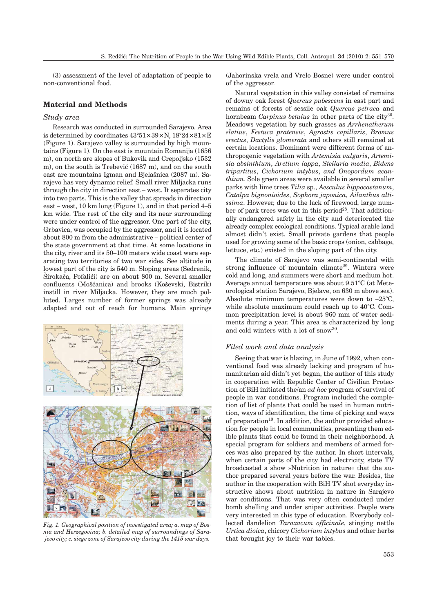(3) assessment of the level of adaptation of people to non-conventional food.

# **Material and Methods**

# *Study area*

Research was conducted in surrounded Sarajevo. Area is determined by coordinates 43°51**×**39**×**N, 18°24**×**81**×**E (Figure 1). Sarajevo valley is surrounded by high mountains (Figure 1). On the east is mountain Romanija (1656 m), on north are slopes of Bukovik and Crepoljsko (1532 m), on the south is Trebević (1687 m), and on the south east are mountains Igman and Bjelašnica (2087 m). Sarajevo has very dynamic relief. Small river Miljacka runs through the city in direction east – west. It separates city into two parts. This is the valley that spreads in direction east – west, 10 km long (Figure 1), and in that period 4–5 km wide. The rest of the city and its near surrounding were under control of the aggressor. One part of the city, Grbavica, was occupied by the aggressor, and it is located about 800 m from the administrative – political center of the state government at that time. At some locations in the city, river and its 50–100 meters wide coast were separating two territories of two war sides. See altitude in lowest part of the city is 540 m. Sloping areas (Sedrenik, Sirokača, Pofalići) are on about 800 m. Several smaller confluents (Mošćanica) and brooks (Koševski, Bistrik) instill in river Miljacka. However, they are much polluted. Larges number of former springs was already adapted and out of reach for humans. Main springs



*Fig. 1. Geographical position of investigated area; a. map of Bosnia and Herzegovina; b. detailed map of surroundings of Sarajevo city; c. siege zone of Sarajevo city during the 1415 war days.*

(Jahorinska vrela and Vrelo Bosne) were under control of the aggressor.

Natural vegetation in this valley consisted of remains of downy oak forest *Quercus pubescens* in east part and remains of forests of sessile oak *Quercus petraea* and hornbeam *Carpinus betulus* in other parts of the city<sup>30</sup>. Meadows vegetation by such grasses as *Arrhenatherum elatius*, *Festuca pratensis*, *Agrostis capillaris*, *Bromus erectus*, *Dactylis glomerata* and others still remained at certain locations. Dominant were different forms of anthropogenic vegetation with *Artemisia vulgaris*, *Artemisia absinthium*, *Arctium lappa*, *Stellaria media*, *Bidens tripartitus*, *Cichorium intybus*, *and Onopordum acanthium*. Sole green areas were available in several smaller parks with lime trees *Tilia* sp., *Aesculus hippocastanum*, *Catalpa bignonioides*, *Sophora japonica*, *Ailanthus altissima*. However, due to the lack of firewood, large number of park trees was cut in this period<sup>28</sup>. That additionally endangered safety in the city and deteriorated the already complex ecological conditions. Typical arable land almost didn't exist. Small private gardens that people used for growing some of the basic crops (onion, cabbage, lettuce, etc.) existed in the sloping part of the city.

The climate of Sarajevo was semi-continental with strong influence of mountain climate29. Winters were cold and long, and summers were short and medium hot. Average annual temperature was about 9.51°C (at Meteorological station Sarajevo, Bjelave, on 630 m above sea). Absolute minimum temperatures were down to –25°C, while absolute maximum could reach up to 40°C. Common precipitation level is about 960 mm of water sediments during a year. This area is characterized by long and cold winters with a lot of snow30.

# *Filed work and data analysis*

Seeing that war is blazing, in June of 1992, when conventional food was already lacking and program of humanitarian aid didn't yet began, the author of this study in cooperation with Republic Center of Civilian Protection of BiH initiated the/an *ad hoc* program of survival of people in war conditions. Program included the completion of list of plants that could be used in human nutrition, ways of identification, the time of picking and ways of preparation<sup>10</sup>. In addition, the author provided education for people in local communities, presenting them edible plants that could be found in their neighborhood. A special program for soldiers and members of armed forces was also prepared by the author. In short intervals, when certain parts of the city had electricity, state TV broadcasted a show »Nutrition in nature« that the author prepared several years before the war. Besides, the author in the cooperation with BiH TV shot everyday instructive shows about nutrition in nature in Sarajevo war conditions. That was very often conducted under bomb shelling and under sniper activities. People were very interested in this type of education. Everybody collected dandelion *Taraxacum officinale*, stinging nettle *Urtica dioica*, chicory *Cichorium intybus* and other herbs that brought joy to their war tables.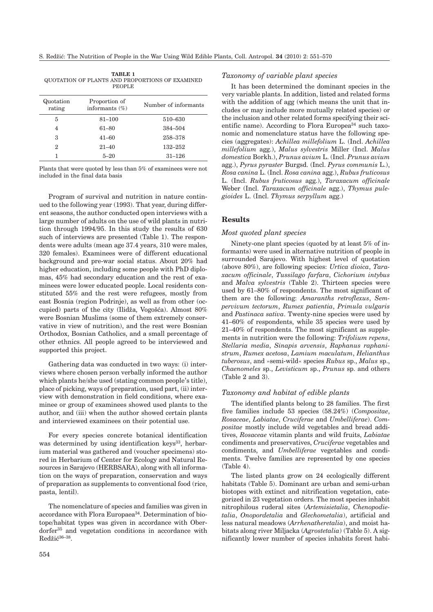| Quotation<br>rating | Proportion of<br>informants $(\%)$ | Number of informants |
|---------------------|------------------------------------|----------------------|
| 5                   | $81 - 100$                         | 510-630              |
| 4                   | $61 - 80$                          | 384-504              |
| 3                   | $41 - 60$                          | 258-378              |
| 2                   | $21 - 40$                          | 132–252              |
|                     | $5 - 20$                           | $31 - 126$           |
|                     |                                    |                      |

| TABLE 1                                         |  |  |  |  |  |  |  |
|-------------------------------------------------|--|--|--|--|--|--|--|
| QUOTATION OF PLANTS AND PROPORTIONS OF EXAMINED |  |  |  |  |  |  |  |
| <b>PEOPLE</b>                                   |  |  |  |  |  |  |  |

Plants that were quoted by less than 5% of examinees were not included in the final data basis

Program of survival and nutrition in nature continued to the following year (1993). That year, during different seasons, the author conducted open interviews with a large number of adults on the use of wild plants in nutrition through 1994/95. In this study the results of 630 such of interviews are presented (Table 1). The respondents were adults (mean age 37.4 years, 310 were males, 320 females). Examinees were of different educational background and pre-war social status. About 20% had higher education, including some people with PhD diplomas, 45% had secondary education and the rest of examinees were lower educated people. Local residents constituted 55% and the rest were refugees, mostly from east Bosnia (region Podrinje), as well as from other (occupied) parts of the city (Ilidža, Vogošća). Almost  $80\%$ were Bosnian Muslims (some of them extremely conservative in view of nutrition), and the rest were Bosnian Orthodox, Bosnian Catholics, and a small percentage of other ethnics. All people agreed to be interviewed and supported this project.

Gathering data was conducted in two ways: (i) interviews where chosen person verbally informed the author which plants he/she used (stating common people's title), place of picking, ways of preparation, used part, (ii) interview with demonstration in field conditions, where examinee or group of examinees showed used plants to the author, and (iii) when the author showed certain plants and interviewed examinees on their potential use.

For every species concrete botanical identification was determined by using identification keys<sup>33</sup>, herbarium material was gathered and (voucher specimens) stored in Herbarium of Center for Ecology and Natural Resources in Sarajevo (HERBSARA), along with all information on the ways of preparation, conservation and ways of preparation as supplements to conventional food (rice, pasta, lentil).

The nomenclature of species and families was given in accordance with Flora Europaea34. Determination of biotope/habitat types was given in accordance with Oberdorfer<sup>35</sup> and vegetation conditions in accordance with  $Redžić<sup>36-38</sup>$ .

# *Taxonomy of variable plant species*

It has been determined the dominant species in the very variable plants. In addition, listed and related forms with the addition of agg (which means the unit that includes or may include more mutually related species) or the inclusion and other related forms specifying their scientific name). According to Flora Europea<sup>34</sup> such taxonomic and nomenclature status have the following species (aggregates): *Achillea millefolium* L. (Incl. *Achillea millefolium* agg.), *Malus sylvestris* Miller (Incl. *Malus domestica* Borkh.), *Prunus avium* L. (Incl. *Prunus avium* agg.), *Pyrus pyraster* Burgsd. (Incl. *Pyrus communis* L.), *Rosa canina* L. (Incl. *Rosa canina* agg.), *Rubus fruticosus* L. (Incl. *Rubus fruticosus* agg.), *Taraxacum officinale* Weber (Incl. *Taraxacum officinale* agg.), *Thymus pulegioides* L. (Incl. *Thymus serpyllum* agg.)

# **Results**

#### *Most quoted plant species*

Ninety-one plant species (quoted by at least 5% of informants) were used in alternative nutrition of people in surrounded Sarajevo. With highest level of quotation (above 80%), are following species: *Urtica dioica*, *Taraxacum officinale*, *Tussilago farfara*, *Cichorium intybus* and *Malva sylvestris* (Table 2). Thirteen species were used by 61–80% of respondents. The most significant of them are the following: *Amaranths retroflexus*, *Sempervivum tectorum*, *Rumex patientia*, *Primula vulgaris* and *Pastinaca sativa*. Twenty-nine species were used by 41–60% of respondents, while 35 species were used by 21–40% of respondents. The most significant as supplements in nutrition were the following: *Trifolium repens*, *Stellaria media*, *Sinapis arvensis*, *Raphanus raphanistrum*, *Rumex acetosa*, *Lamium maculatum*, *Helianthus tuberosus*, and »semi-wild« species *Rubus* sp., *Malus* sp., *Chaenomeles* sp., *Levisticum* sp., *Prunus* sp. and others (Table 2 and 3).

#### *Taxonomy and habitat of edible plants*

The identified plants belong to 28 families. The first five families include 53 species (58.24%) (*Compositae*, *Rosaceae*, *Labiatae*, *Cruciferae* and *Umbelliferae*). *Compositae* mostly include wild vegetables and bread additives, *Rosaceae* vitamin plants and wild fruits, *Labiatae* condiments and preservatives, *Cruciferae* vegetables and condiments, and *Umbelliferae* vegetables and condiments. Twelve families are represented by one species (Table 4).

The listed plants grow on 24 ecologically different habitats (Table 5). Dominant are urban and semi-urban biotopes with extinct and nitrification vegetation, categorized in 23 vegetation orders. The most species inhabit nitrophilous ruderal sites (*Artemisietalia*, *Chenopodietalia*, *Onopordetalia* and *Glechometalia*), artificial and less natural meadows (*Arrhenatheretalia*), and moist habitats along river Miljacka (*Agrostetalia*) (Table 5). A significantly lower number of species inhabits forest habi-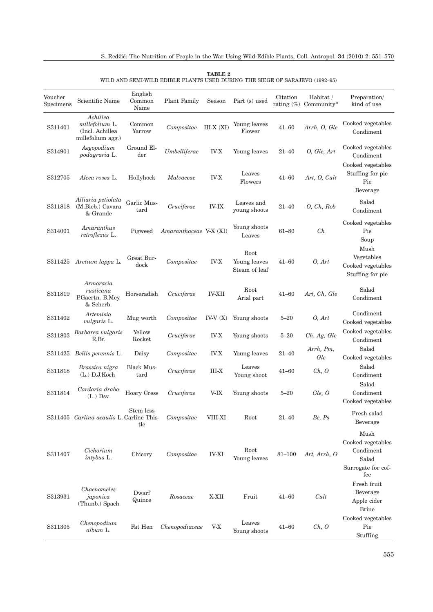| Voucher<br>Specimens | Scientific Name                                                    | English<br>Common<br>Name | <b>Plant Family</b>    | Season        | Part (s) used                         | Citation   | Habitat /<br>rating $(\%)$ Community* | Preparation/<br>kind of use                                                  |
|----------------------|--------------------------------------------------------------------|---------------------------|------------------------|---------------|---------------------------------------|------------|---------------------------------------|------------------------------------------------------------------------------|
| S311401              | Achillea<br>millefolium L.<br>(Incl. Achillea<br>millefolium agg.) | Common<br>Yarrow          | Compositae             | $III-X (XI)$  | Young leaves<br>Flower                | $41 - 60$  | Arrh, O, Gle                          | Cooked vegetables<br>Condiment                                               |
| S314901              | Aegopodium<br>podagraria L.                                        | Ground El-<br>der         | Umbelliferae           | <b>IV-X</b>   | Young leaves                          | $21 - 40$  | O, Gle, Art                           | Cooked vegetables<br>Condiment                                               |
| S312705              | Alcea rosea L.                                                     | Hollyhock                 | Malvaceae              | <b>IV-X</b>   | Leaves<br>Flowers                     | 41–60      | Art, O, Cult                          | Cooked vegetables<br>Stuffing for pie<br>Pie<br>Beverage                     |
| S311818              | Alliaria petiolata<br>(M.Bieb.) Cavara<br>& Grande                 | Garlic Mus-<br>tard       | Cruciferae             | <b>IV-IX</b>  | Leaves and<br>young shoots            | $21 - 40$  | O, Ch, Rob                            | Salad<br>Condiment                                                           |
| S314001              | Amaranthus<br>retroflexus L.                                       | Pigweed                   | Amaranthaceae V-X (XI) |               | Young shoots<br>Leaves                | $61 - 80$  | Ch                                    | Cooked vegetables<br>Pie<br>Soup                                             |
| S311425              | Arctium lappa L.                                                   | Great Bur-<br>dock        | Compositae             | <b>IV-X</b>   | Root<br>Young leaves<br>Steam of leaf | $41 - 60$  | O, Art                                | Mush<br>Vegetables<br>Cooked vegetables<br>Stuffing for pie                  |
| S311819              | Armoracia<br>rusticana<br>P.Gaertn. B.Mey.<br>& Scherb.            | Horseradish               | Cruciferae             | <b>IV-XII</b> | Root<br>Arial part                    | $41 - 60$  | Art, Ch, Gle                          | Salad<br>Condiment                                                           |
| S311402              | Artemisia<br><i>vulgaris</i> L.                                    | Mug worth                 | Compositae             | $IV-V(X)$     | Young shoots                          | $5 - 20$   | O, Art                                | Condiment<br>Cooked vegetables                                               |
| S311803              | Barbarea vulgaris<br>R.Br.                                         | Yellow<br>Rocket          | Cruciferae             | <b>IV-X</b>   | Young shoots                          | $5 - 20$   | Ch, Ag, Gle                           | Cooked vegetables<br>Condiment                                               |
| S311425              | Bellis perennis L.                                                 | Daisy                     | Compositae             | <b>IV-X</b>   | Young leaves                          | 21–40      | Arrh, Pm,<br>Gle                      | Salad<br>Cooked vegetables                                                   |
| S311818              | Brassica nigra<br>$(L.)$ D.J.Koch                                  | <b>Black Mus-</b><br>tard | Cruciferae             | $III-X$       | Leaves<br>Young shoot                 | $41 - 60$  | Ch, O                                 | Salad<br>Condiment                                                           |
| S311814              | Cardaria draba<br>$(L.)$ Dsv.                                      | <b>Hoary Cress</b>        | Cruciferae             | V-IX          | Young shoots                          | $5 - 20$   | Gle, O                                | Salad<br>Condiment<br>Cooked vegetables                                      |
|                      | S311405 Carlina acaulis L. Carline This-                           | Stem less<br>tle          | Compositae             | VIII-XI       | Root                                  | $21 - 40$  | Be, Ps                                | Fresh salad<br>Beverage                                                      |
| S311407              | Cichorium<br><i>intybus</i> L.                                     | Chicory                   | Compositae             | <b>IV-XI</b>  | Root<br>Young leaves                  | $81 - 100$ | Art, Arrh, O                          | Mush<br>Cooked vegetables<br>Condiment<br>Salad<br>Surrogate for cof-<br>fee |
| S313931              | Chaenomeles<br>japonica<br>(Thunb.) Spach                          | Dwarf<br>Quince           | Rosaceae               | X-XII         | Fruit                                 | $41 - 60$  | Cult                                  | Fresh fruit<br>Beverage<br>Apple cider<br><b>Brine</b>                       |
| S311305              | Chenopodium<br>album L.                                            | Fat Hen                   | Chenopodiaceae         | $V-X$         | Leaves<br>Young shoots                | $41 - 60$  | Ch, O                                 | Cooked vegetables<br>Pie<br>Stuffing                                         |

**TABLE 2** WILD AND SEMI-WILD EDIBLE PLANTS USED DURING THE SIEGE OF SARAJEVO (1992–95)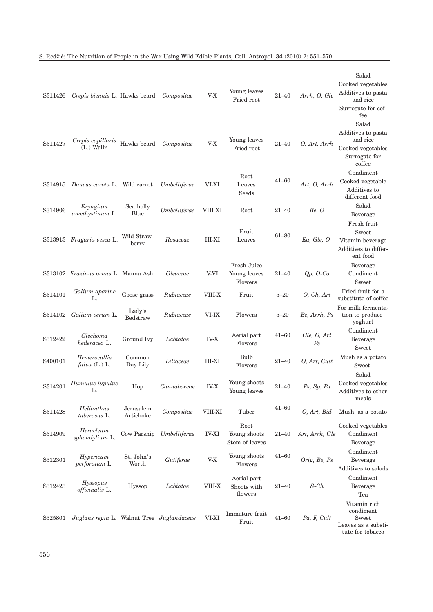| S311426             | Crepis biennis L. Hawks beard             |                        | Compositae      | $V-X$         | Young leaves<br>Fried root             | $21 - 40$ | Arrh, O, Gle           | Salad<br>Cooked vegetables<br>Additives to pasta<br>and rice<br>Surrogate for cof-<br>fee |
|---------------------|-------------------------------------------|------------------------|-----------------|---------------|----------------------------------------|-----------|------------------------|-------------------------------------------------------------------------------------------|
| S311427             | Crepis capillaris<br>$(L)$ Wallr.         | Hawks beard            | Compositae      | V-X           | Young leaves<br>Fried root             | $21 - 40$ | O, Art, Arrh           | Salad<br>Additives to pasta<br>and rice<br>Cooked vegetables<br>Surrogate for<br>coffee   |
| S314915             | Daucus carota L. Wild carrot              |                        | Umbelliferae    | VI-XI         | Root<br>Leaves<br>Seeds                | $41 - 60$ | Art, O, Arrh           | Condiment<br>Cooked vegetable<br>Additives to<br>different food                           |
| S314906             | Eryngium<br>amethystinum L.               | Sea holly<br>Blue      | Umbelliferae    | VIII-XI       | Root                                   | $21 - 40$ | Be, O                  | Salad<br>Beverage                                                                         |
|                     | S313913 Fragaria vesca L.                 | Wild Straw-<br>berry   | Rosaceae        | <b>III-XI</b> | Fruit<br>Leaves                        | $61 - 80$ | Ea, Gle, O             | Fresh fruit<br>Sweet<br>Vitamin beverage<br>Additives to differ-<br>ent food              |
|                     | S313102 Fraxinus ornus L. Manna Ash       |                        | <i>Oleaceae</i> | V-VI          | Fresh Juice<br>Young leaves<br>Flowers | $21 - 40$ | Qp, O-Co               | Beverage<br>Condiment<br>Sweet                                                            |
| S314101             | Galium aparine<br>L.                      | Goose grass            | Rubiaceae       | VIII-X        | Fruit                                  | $5 - 20$  | O, Ch, Art             | Fried fruit for a<br>substitute of coffee                                                 |
| S314102             | Galium verum L.                           | Lady's<br>Bedstraw     | Rubiaceae       | VI-IX         | Flowers                                | $5 - 20$  | Be, Arrh, Ps           | For milk fermenta-<br>tion to produce<br>yoghurt                                          |
| S312422             | Glechoma<br>hederacea L.                  | Ground Ivy             | Labiatae        | <b>IV-X</b>   | Aerial part<br>Flowers                 | $41 - 60$ | Gle, O, Art<br>$P_{S}$ | Condiment<br>Beverage<br>Sweet                                                            |
| S <sub>400101</sub> | Hemerocallis<br>$\text{fulva}$ (L.) L.    | Common<br>Day Lily     | Liliaceae       | III-XI        | Bulb<br>Flowers                        | $21 - 40$ | O, Art, Cult           | Mush as a potato<br>Sweet                                                                 |
| S314201             | Humulus lupulus<br>L.                     | Hop                    | Cannabaceae     | <b>IV-X</b>   | Young shoots<br>Young leaves           | $21 - 40$ | $Ps$ , $Sp$ , $Pa$     | Salad<br>Cooked vegetables<br>Additives to other<br>meals                                 |
| S311428             | Helianthus<br>tuberosus L.                | Jerusalem<br>Artichoke | Compositae      | VIII-XI       | Tuber                                  | $41 - 60$ | $O$ , Art, Bid         | Mush, as a potato                                                                         |
| S314909             | Heracleum<br>sphondylium L.               | Cow Parsnip            | Umbelliferae    | <b>IV-XI</b>  | Root<br>Young shoots<br>Stem of leaves | $21 - 40$ | Art, Arrh, Gle         | Cooked vegetables<br>Condiment<br>Beverage                                                |
| S312301             | Hypericum<br>perforatum L.                | St. John's<br>Worth    | Gutiferae       | $V-X$         | Young shoots<br>Flowers                | $41 - 60$ | Orig, Be, Ps           | Condiment<br>Beverage<br>Additives to salads                                              |
| S312423             | Hyssopus<br>officinalis L.                | Hyssop                 | Labiatae        | VIII-X        | Aerial part<br>Shoots with<br>flowers  | $21 - 40$ | $S$ -Ch                | Condiment<br>Beverage<br>Tea                                                              |
| S325801             | Juglans regia L. Walnut Tree Juglandaceae |                        |                 | VI-XI         | Immature fruit<br>Fruit                | $41 - 60$ | Pa, F, Cult            | Vitamin rich<br>condiment<br>Sweet<br>Leaves as a substi-<br>tute for tobacco             |

# S. Red`i}: The Nutrition of People in the War Using Wild Edible Plants, Coll. Antropol. **34** (2010) 2: 551–570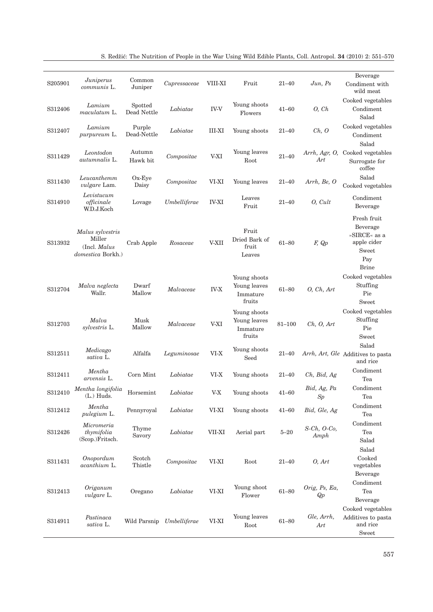| S205901 | Juniperus<br>communis L.                                               | Common<br>Juniper      | Cupressaceae | VIII-XI       | Fruit                                              | $21 - 40$ | Jun, Ps              | Beverage<br>Condiment with<br>wild meat                                                       |
|---------|------------------------------------------------------------------------|------------------------|--------------|---------------|----------------------------------------------------|-----------|----------------------|-----------------------------------------------------------------------------------------------|
| S312406 | Lamium<br>maculatum L.                                                 | Spotted<br>Dead Nettle | Labiatae     | <b>IV-V</b>   | Young shoots<br>Flowers                            | $41 - 60$ | O, Ch                | Cooked vegetables<br>Condiment<br>Salad                                                       |
| S312407 | Lamium<br>purpureum L.                                                 | Purple<br>Dead-Nettle  | Labiatae     | <b>III-XI</b> | Young shoots                                       | $21 - 40$ | Ch, O                | Cooked vegetables<br>Condiment                                                                |
| S311429 | Leontodon<br>autumnalis L.                                             | Autumn<br>Hawk bit     | Compositae   | V-XI          | Young leaves<br>Root                               | $21 - 40$ | Arrh, Agr, O,<br>Art | Salad<br>Cooked vegetables<br>Surrogate for<br>coffee                                         |
| S311430 | Leucanthemm<br>vulgare Lam.                                            | $Ox-Eye$<br>Daisy      | Compositae   | VI-XI         | Young leaves                                       | $21 - 40$ | Arrh, Be, O          | Salad<br>Cooked vegetables                                                                    |
| S314910 | Levistucum<br>officinale<br>W.D.J.Koch                                 | Lovage                 | Umbelliferae | <b>IV-XI</b>  | Leaves<br>Fruit                                    | $21 - 40$ | $O, \mathit{Cult}$   | Condiment<br>Beverage                                                                         |
| S313932 | Malus sylvestris<br>Miller<br>(Incl. Malus<br><i>domestica</i> Borkh.) | Crab Apple             | Rosaceae     | V-XII         | Fruit<br>Dried Bark of<br>fruit<br>Leaves          | $61 - 80$ | F, Qp                | Fresh fruit<br>Beverage<br>»SIRCE« as a<br>apple cider<br><b>Sweet</b><br>Pay<br><b>Brine</b> |
| S312704 | Malva neglecta<br>Wallr.                                               | Dwarf<br>Mallow        | Malvaceae    | <b>IV-X</b>   | Young shoots<br>Young leaves<br>Immature<br>fruits | $61 - 80$ | O, Ch, Art           | Cooked vegetables<br>Stuffing<br>Pie<br>Sweet                                                 |
| S312703 | Malva<br>sylvestris L.                                                 | Musk<br>Mallow         | Malvaceae    | V-XI          | Young shoots<br>Young leaves<br>Immature<br>fruits | 81-100    | Ch, O, Art           | Cooked vegetables<br>Stuffing<br>Pie<br>Sweet                                                 |
| S312511 | Medicago<br>sativa L.                                                  | Alfalfa                | Leguminosae  | $VI-X$        | Young shoots<br>Seed                               | $21 - 40$ |                      | Salad<br>Arrh, Art, Gle Additives to pasta<br>and rice                                        |
| S312411 | Mentha<br>arvensis L.                                                  | Corn Mint              | Labiatae     | VI-X          | Young shoots                                       | $21 - 40$ | Ch, Bid, Ag          | Condiment<br>Tea                                                                              |
| S312410 | Mentha longifolia<br>$(L.)$ Huds.                                      | Horsemint              | Labiatae     | V-X           | Young shoots                                       | $41 - 60$ | Bid, Ag, Pa<br>Sp    | Condiment<br>Tea                                                                              |
| S312412 | Mentha<br>pulegium L.                                                  | Pennyroyal             | Labiatae     | VI-XI         | Young shoots                                       | $41 - 60$ | Bid, Gle, Ag         | Condiment<br>Tea                                                                              |
| S312426 | Micromeria<br>thymifolia<br>(Scop.)Fritsch.                            | Thyme<br>Savory        | Labiatae     | VII-XI        | Aerial part                                        | $5 - 20$  | S-Ch, O-Co,<br>Amph  | Condiment<br>Tea<br>Salad                                                                     |
| S311431 | Onopordum<br>acanthium L.                                              | Scotch<br>Thistle      | Compositae   | VI-XI         | Root                                               | $21 - 40$ | O, Art               | Salad<br>Cooked<br>vegetables<br>Beverage                                                     |
| S312413 | Origanum<br>vulgare L.                                                 | Oregano                | Labiatae     | $VI-XI$       | Young shoot<br>Flower                              | $61 - 80$ | Orig, Ps, Ea,<br>Qp  | Condiment<br>Tea<br>Beverage                                                                  |
| S314911 | Pastinaca<br>sativa L.                                                 | Wild Parsnip           | Umbelliferae | VI-XI         | Young leaves<br>Root                               | $61 - 80$ | Gle, Arrh,<br>Art    | Cooked vegetables<br>Additives to pasta<br>and rice<br>${\bf Sweet}$                          |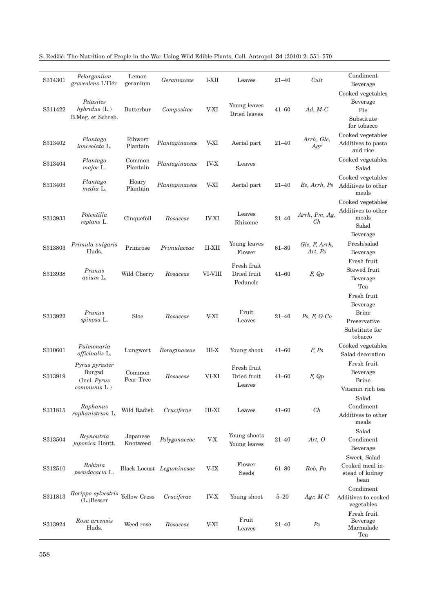| S314301 | Pelargonium<br>graveolens L'Hér.                            | Lemon<br>geranium    | Geraniaceae              | I-XII         | Leaves                                 | $21 - 40$ | Cult                     | Condiment<br>Beverage                                                                |
|---------|-------------------------------------------------------------|----------------------|--------------------------|---------------|----------------------------------------|-----------|--------------------------|--------------------------------------------------------------------------------------|
| S311422 | Petasites<br>$hybridus$ (L.)<br>B.Meg. et Schreb.           | Butterbur            | Compositae               | V-XI          | Young leaves<br>Dried leaves           | $41 - 60$ | $Ad, M-C$                | Cooked vegetables<br>Beverage<br>Pie<br>Substitute<br>for tobacco                    |
| S313402 | Plantago<br>lanceolata L.                                   | Ribwort<br>Plantain  | Plantaginaceae           | V-XI          | Aerial part                            | $21 - 40$ | Arrh, Gle,<br>Agr        | Cooked vegetables<br>Additives to pasta<br>and rice                                  |
| S313404 | Plantago<br>major L.                                        | Common<br>Plantain   | Plantaginaceae           | <b>IV-X</b>   | Leaves                                 |           |                          | Cooked vegetables<br>Salad                                                           |
| S313403 | Plantago<br>media L.                                        | Hoary<br>Plantain    | Plantaginaceae           | V-XI          | Aerial part                            | $21 - 40$ | Be, Arrh, Ps             | Cooked vegetables<br>Additives to other<br>meals                                     |
| S313933 | Potentilla<br>reptans L.                                    | Cinquefoil           | Rosaceae                 | <b>IV-XI</b>  | Leaves<br>Rhizome                      | $21 - 40$ | Arrh, Pm, Ag,<br>Ch      | Cooked vegetables<br>Additives to other<br>meals<br>Salad<br>Beverage                |
| S313803 | Primula vulgaris<br>Huds.                                   | Primrose             | Primulaceae              | <b>II-XII</b> | Young leaves<br>Flower                 | $61 - 80$ | Gle, F, Arrh,<br>Art, Ps | Fresh/salad<br>Beverage                                                              |
| S313938 | Prunus<br>avium L.                                          | Wild Cherry          | Rosaceae                 | VI-VIII       | Fresh fruit<br>Dried fruit<br>Peduncle | $41 - 60$ | F, Qp                    | Fresh fruit<br>Stewed fruit<br>Beverage<br>Tea                                       |
| S313922 | Prunus<br>spinosa L.                                        | Sloe                 | Rosaceae                 | V-XI          | Fruit<br>Leaves                        | $21 - 40$ | $Ps, F, O-Co$            | Fresh fruit<br>Beverage<br><b>Brine</b><br>Preservative<br>Substitute for<br>tobacco |
| S310601 | Pulmonaria<br>officinalis L.                                | Lungwort             | <i>Boraginaceae</i>      | III-X         | Young shoot                            | $41 - 60$ | F, Ps                    | Cooked vegetables<br>Salad decoration                                                |
| S313919 | Pyrus pyraster<br>Burgsd.<br>(Incl. $Pyrus$<br>communis L.) | Common<br>Pear Tree  | Rosaceae                 | VI-XI         | Fresh fruit<br>Dried fruit<br>Leaves   | $41 - 60$ | F, Qp                    | Fresh fruit<br>Beverage<br><b>Brine</b><br>Vitamin rich tea                          |
| S311815 | Raphanus<br>raphanistrum L.                                 | Wild Radish          | Cruciferae               | III-XI        | Leaves                                 | $41 - 60$ | Ch                       | Salad<br>Condiment<br>Additives to other<br>meals                                    |
| S313504 | Reynoutria<br><i>japonica</i> Houtt.                        | Japanese<br>Knotweed | Polygonaceae             | $V-X$         | Young shoots<br>Young leaves           | $21 - 40$ | Art, $\theta$            | Salad<br>Condiment<br>Beverage                                                       |
| S312510 | Robinia<br>pseudacacia L.                                   |                      | Black Locust Leguminosae | V-IX          | Flower<br>Seeds                        | $61 - 80$ | Rob, Pa                  | Sweet, Salad<br>Cooked meal in-<br>stead of kidney<br>bean                           |
| S311813 | Rorippa sylvestris<br>$(L)$ Besser                          | Yellow Cress         | Cruciferae               | <b>IV-X</b>   | Young shoot                            | $5 - 20$  | Agr, $M-C$               | Condiment<br>Additives to cooked<br>vegetables                                       |
| S313924 | Rosa arvensis<br>Huds.                                      | Weed rose            | Rosaceae                 | V-XI          | Fruit<br>Leaves                        | $21 - 40$ | Ps                       | Fresh fruit<br>Beverage<br>Marmalade<br>Tea                                          |

S. Red`i}: The Nutrition of People in the War Using Wild Edible Plants, Coll. Antropol. **34** (2010) 2: 551–570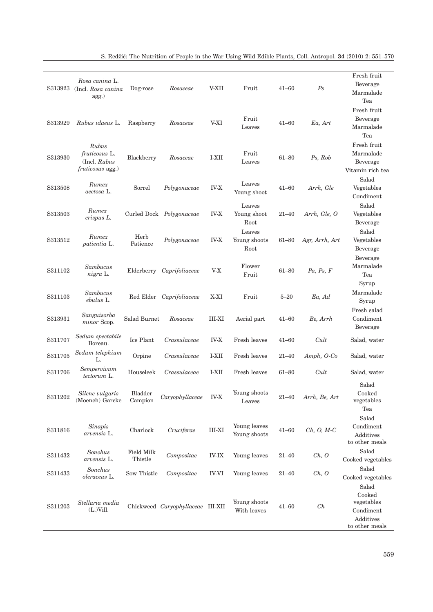| S313923 | Rosa canina L.<br>(Incl. Rosa canina)<br>agg.)             | Dog-rose                     | Rosaceae                          | V-XII        | Fruit                          | $41 - 60$ | Ps             | Fresh fruit<br>Beverage<br>Marmalade                                      |
|---------|------------------------------------------------------------|------------------------------|-----------------------------------|--------------|--------------------------------|-----------|----------------|---------------------------------------------------------------------------|
| S313929 | Rubus idaeus L.                                            | Raspberry                    | Rosaceae                          | V-XI         | Fruit<br>Leaves                | $41 - 60$ | Ea, Art        | Tea<br>Fresh fruit<br>Beverage<br>Marmalade<br>Tea                        |
| S313930 | Rubus<br>fruticosus L.<br>(Incl. Rubus<br>fruticosus agg.) | Blackberry                   | Rosaceae                          | I-XII        | Fruit<br>Leaves                | $61 - 80$ | Ps, Rob        | Fresh fruit<br>Marmalade<br>Beverage<br>Vitamin rich tea                  |
| S313508 | Rumex<br>acetosa L.                                        | Sorrel                       | Polygonaceae                      | <b>IV-X</b>  | Leaves<br>Young shoot          | $41 - 60$ | Arrh, Gle      | Salad<br>Vegetables<br>Condiment                                          |
| S313503 | Rumex<br>crispus L.                                        |                              | Curled Dock Polygonaceae          | <b>IV-X</b>  | Leaves<br>Young shoot<br>Root  | $21 - 40$ | Arrh, Gle, O   | Salad<br>Vegetables<br>Beverage                                           |
| S313512 | Rumex<br>patientia L.                                      | Herb<br>Patience             | Polygonaceae                      | <b>IV-X</b>  | Leaves<br>Young shoots<br>Root | $61 - 80$ | Agr, Arrh, Art | Salad<br>Vegetables<br>Beverage                                           |
| S311102 | Sambucus<br>nigra L.                                       | Elderberry                   | Caprifoliaceae                    | V-X          | Flower<br>Fruit                | $61 - 80$ | Pa, Ps, F      | Beverage<br>Marmalade<br>Tea                                              |
| S311103 | Sambucus<br>ebulus L.                                      |                              | Red Elder Caprifoliaceae          | X-XI         | Fruit                          | $5 - 20$  | Ea, Ad         | Syrup<br>Marmalade<br>Syrup                                               |
| S313931 | Sanguisorba<br>minor Scop.                                 | Salad Burnet                 | Rosaceae                          | III-XI       | Aerial part                    | $41 - 60$ | Be, Arrh       | Fresh salad<br>Condiment<br>Beverage                                      |
| S311707 | Sedum spectabile<br>Boreau.                                | Ice Plant                    | Crassulaceae                      | <b>IV-X</b>  | Fresh leaves                   | $41 - 60$ | Cult           | Salad, water                                                              |
| S311705 | Sedum telephium<br>L.                                      | Orpine                       | Crassulaceae                      | <b>I-XII</b> | Fresh leaves                   | $21 - 40$ | $Amph, O-Co$   | Salad, water                                                              |
| S311706 | Sempervivum<br>tectorum L.                                 | Houseleek                    | Crassulaceae                      | I-XII        | Fresh leaves                   | 61-80     | Cult           | Salad, water                                                              |
| S311202 | Silene vulgaris<br>(Moench) Garcke                         | Bladder<br>Campion           | Caryophyllaceae                   | <b>IV-X</b>  | Young shoots<br>Leaves         | $21 - 40$ | Arrh, Be, Art  | Salad<br>Cooked<br>vegetables<br>Tea                                      |
| S311816 | <b>Sinapis</b><br>arvensis L.                              | Charlock                     | Cruciferae                        | $III-XI$     | Young leaves<br>Young shoots   | $41 - 60$ | $Ch, O, M-C$   | Salad<br>Condiment<br>Additives<br>to other meals                         |
| S311432 | Sonchus<br>arvensis L.                                     | <b>Field Milk</b><br>Thistle | Compositae                        | <b>IV-IX</b> | Young leaves                   | $21 - 40$ | Ch, O          | Salad<br>Cooked vegetables                                                |
| S311433 | Sonchus<br>oleraceus L.                                    | Sow Thistle                  | Compositae                        | <b>IV-VI</b> | Young leaves                   | $21 - 40$ | Ch, O          | Salad<br>Cooked vegetables                                                |
| S311203 | Stellaria media<br>$(L.)$ Vill.                            |                              | Chickweed Caryophyllaceae III-XII |              | Young shoots<br>With leaves    | $41 - 60$ | Ch             | Salad<br>Cooked<br>vegetables<br>Condiment<br>Additives<br>to other meals |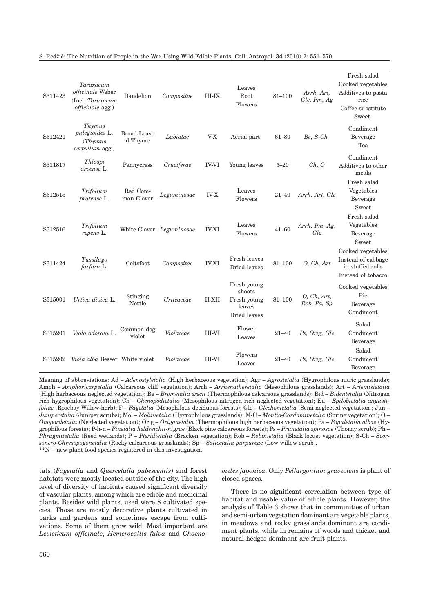S. Red`i}: The Nutrition of People in the War Using Wild Edible Plants, Coll. Antropol. **34** (2010) 2: 551–570

| S311423 | Taraxacum<br>officinale Weber<br>(Incl. Taraxacum<br><i>officinale</i> agg.) | Dandelion              | Compositae               | $III-IX$      | Leaves<br>Root<br>Flowers                                      | $81 - 100$ | Arrh, Art,<br>Gle, Pm, Ag  | Fresh salad<br>Cooked vegetables<br>Additives to pasta<br>rice<br>Coffee substitute<br>Sweet |
|---------|------------------------------------------------------------------------------|------------------------|--------------------------|---------------|----------------------------------------------------------------|------------|----------------------------|----------------------------------------------------------------------------------------------|
| S312421 | Thymus<br>pulegioides L.<br>(Thymus<br>serpyllum agg.)                       | Broad-Leave<br>d Thyme | Labiatae                 | $V-X$         | Aerial part                                                    | $61 - 80$  | Be, S-Ch                   | Condiment<br>Beverage<br>Tea                                                                 |
| S311817 | Thlaspi<br>arvense L.                                                        | Pennycress             | Cruciferae               | <b>IV-VI</b>  | Young leaves                                                   | $5 - 20$   | Ch, O                      | Condiment<br>Additives to other<br>meals                                                     |
| S312515 | Trifolium<br>pratense L.                                                     | Red Com-<br>mon Clover | Leguminosae              | <b>IV-X</b>   | Leaves<br>Flowers                                              | $21 - 40$  | Arrh, Art, Gle             | Fresh salad<br>Vegetables<br>Beverage<br>Sweet                                               |
| S312516 | Trifolium<br>repens L.                                                       |                        | White Clover Leguminosae | <b>IV-XI</b>  | Leaves<br>Flowers                                              | $41 - 60$  | Arrh, Pm, Ag,<br>Gle       | Fresh salad<br>Vegetables<br>Beverage<br>Sweet                                               |
| S311424 | Tussilago<br>farfara L.                                                      | Coltsfoot              | Compositae               | <b>IV-XI</b>  | Fresh leaves<br>Dried leaves                                   | $81 - 100$ | O, Ch, Art                 | Cooked vegetables<br>Instead of cabbage<br>in stuffed rolls<br>Instead of tobacco            |
| S315001 | Urtica dioica L.                                                             | Stinging<br>Nettle     | Urticaceae               | <b>II-XII</b> | Fresh young<br>shoots<br>Fresh young<br>leaves<br>Dried leaves | $81 - 100$ | O, Ch, Art,<br>Rob, Pa, Sp | Cooked vegetables<br>Pie<br>Beverage<br>Condiment                                            |
| S315201 | Viola odorata L.                                                             | Common dog<br>violet   | Violaceae                | <b>III-VI</b> | Flower<br>Leaves                                               | $21 - 40$  | Ps, Orig, Gle              | Salad<br>Condiment<br>Beverage                                                               |
| S315202 | Viola alba Besser White violet                                               |                        | Violaceae                | <b>III-VI</b> | Flowers<br>Leaves                                              | $21 - 40$  | Ps, Orig, Gle              | Salad<br>Condiment<br>Beverage                                                               |

Meaning of abbreviations: Ad – *Adenostyletalia* (High herbaceous vegetation); Agr – *Agrostetalia* (Hygrophilous nitric grasslands); Amph – *Amphoricarpetalia* (Calcareous cliff vegetation); Arrh – *Arrhenatheretalia* (Mesophilous grasslands); Art – *Artemisietalia* (High herbaceous neglected vegetation); Be – *Brometalia erecti* (Thermophilous calcareous grasslands); Bid – *Bidentetalia* (Nitrogen rich hygrophilous vegetation); Ch – *Chenopodietalia* (Mesophilous nitrogen rich neglected vegetation); Ea – *Epilobietalia angustifoliae* (Rosebay Willow-herb); F – *Fagetalia* (Mesophilous deciduous forests); Gle – *Glechometalia* (Semi neglected vegetation); Jun – *Juniperetalia* (Juniper scrubs); Mol – *Molinietalia* (Hygrophilous grasslands); M-C – *Montio-Cardaminetalia* (Spring vegetation); O – *Onopordetalia* (Neglected vegetation); Orig – *Origanetalia* (Thermophilous high herbaceous vegetation); Pa – *Populetalia albae* (Hygrophilous forests); P-h-n – *Pinetalia heldreichii-nigrae* (Black pine calcareous forests); Ps – *Prunetalia spinosae* (Thorny scrub); Ph – *Phragmitetalia* (Reed wetlands); P – *Pteridietalia* (Bracken vegetation); Rob – *Robinietalia* (Black locust vegetation); S-Ch – *Scorsonero-Chrysopogonetalia* (Rocky calcareous grasslands); Sp – *Salicetalia purpureae* (Low willow scrub). \*\*N – new plant food species registered in this investigation.

tats (*Fagetalia* and *Quercetalia pubescentis*) and forest habitats were mostly located outside of the city. The high level of diversity of habitats caused significant diversity of vascular plants, among which are edible and medicinal plants. Besides wild plants, used were 8 cultivated species. Those are mostly decorative plants cultivated in parks and gardens and sometimes escape from cultivations. Some of them grow wild. Most important are *Levisticum officinale*, *Hemerocallis fulva* and *Chaeno-*

# *meles japonica*. Only *Pellargonium graveolens* is plant of closed spaces.

There is no significant correlation between type of habitat and usable value of edible plants. However, the analysis of Table 3 shows that in communities of urban and semi-urban vegetation dominant are vegetable plants, in meadows and rocky grasslands dominant are condiment plants, while in remains of woods and thicket and natural hedges dominant are fruit plants.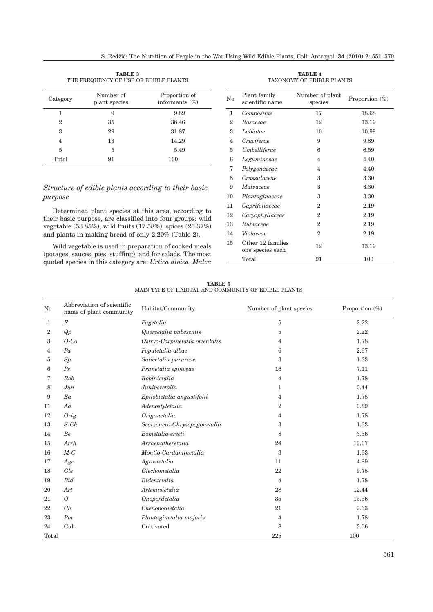| <b>TABLE 3</b><br>THE FREQUENCY OF USE OF EDIBLE PLANTS |                            |                                    |  |  |  |  |  |
|---------------------------------------------------------|----------------------------|------------------------------------|--|--|--|--|--|
| Category                                                | Number of<br>plant species | Proportion of<br>informants $(\%)$ |  |  |  |  |  |
| 1                                                       | 9                          | 9.89                               |  |  |  |  |  |
| 2                                                       | 35                         | 38.46                              |  |  |  |  |  |
| 3                                                       | 29                         | 31.87                              |  |  |  |  |  |
| 4                                                       | 13                         | 14.29                              |  |  |  |  |  |
| 5                                                       | 5                          | 5.49                               |  |  |  |  |  |
| Total                                                   | 91                         | 100                                |  |  |  |  |  |

# *Structure of edible plants according to their basic purpose*

Determined plant species at this area, according to their basic purpose, are classified into four groups: wild vegetable (53.85%), wild fruits (17.58%), spices (26.37%) and plants in making bread of only 2.20% (Table 2).

Wild vegetable is used in preparation of cooked meals (potages, sauces, pies, stuffing), and for salads. The most quoted species in this category are: *Urtica dioica*, *Malva*

| No | Plant family<br>scientific name       | Number of plant<br>species | Proportion $(\%)$ |
|----|---------------------------------------|----------------------------|-------------------|
| 1  | Compositae                            | 17                         | 18.68             |
| 2  | Rosaceae                              | 12                         | 13.19             |
| 3  | Labiatae                              | 10                         | 10.99             |
| 4  | Cruciferae                            | 9                          | 9.89              |
| 5  | Umbelliferae                          | 6                          | 6.59              |
| 6  | Leguminosae                           | 4                          | 4.40              |
| 7  | Polygonaceae                          | 4                          | 4.40              |
| 8  | Crassulaceae                          | 3                          | 3.30              |
| 9  | Malvaceae                             | 3                          | 3.30              |
| 10 | Plantaginaceae                        | 3                          | 3.30              |
| 11 | Caprifoliaceae                        | 2                          | 2.19              |
| 12 | Caryophyllaceae                       | 2                          | 2.19              |
| 13 | Rubiaceae                             | 2                          | 2.19              |
| 14 | Violaceae                             | $\overline{2}$             | 2.19              |
| 15 | Other 12 families<br>one species each | 12                         | 13.19             |
|    | Total                                 | 91                         | 100               |

**TABLE 4** TAXONOMY OF EDIBLE PLANTS

**TABLE 5** MAIN TYPE OF HABITAT AND COMMUNITY OF EDIBLE PLANTS

| No    | Abbreviation of scientific<br>name of plant community | Habitat/Community              | Number of plant species | Proportion (%) |
|-------|-------------------------------------------------------|--------------------------------|-------------------------|----------------|
| 1     | $\cal F$                                              | Fagetalia                      | 5                       | 2.22           |
| 2     | Qp                                                    | Quercetalia pubescntis         | 5                       | 2.22           |
| 3     | $O$ -Co                                               | Ostryo-Carpinetalia orientalis | 4                       | 1.78           |
| 4     | Pa                                                    | Populetalia albae              | 6                       | 2.67           |
| 5     | Sp                                                    | Salicetalia purureae           | 3                       | 1.33           |
| 6     | Ps                                                    | Prunetalia spinosae            | 16                      | 7.11           |
| 7     | Rob                                                   | Robinietalia                   | 4                       | 1.78           |
| 8     | $_{Jun}$                                              | Juniperetalia                  | 1                       | 0.44           |
| 9     | Ea                                                    | Epilobietalia angustifolii     | 4                       | 1.78           |
| 11    | Ad                                                    | Adenostyletalia                | 2                       | 0.89           |
| 12    | <b>Orig</b>                                           | Origanetalia                   | 4                       | 1.78           |
| 13    | $S$ - $Ch$                                            | Scorzonero-Chrysopogonetalia   | 3                       | 1.33           |
| 14    | Be                                                    | Bometalia erecti               | 8                       | 3.56           |
| 15    | Arrh                                                  | Arrhenatheretalia              | 24                      | 10.67          |
| 16    | $M-C$                                                 | Montio-Cardaminetalia          | 3                       | 1.33           |
| 17    | Agr                                                   | Agrostetalia                   | 11                      | 4.89           |
| 18    | Gle                                                   | Glechometalia                  | 22                      | 9.78           |
| 19    | <b>Bid</b>                                            | Bidentetalia                   | $\overline{4}$          | 1.78           |
| 20    | Art                                                   | Artemisietalia                 | 28                      | 12.44          |
| 21    | $\overline{O}$                                        | Onopordetalia                  | 35                      | 15.56          |
| 22    | Ch                                                    | Chenopodietalia                | 21                      | 9.33           |
| 23    | Pm                                                    | Plantaginetalia majoris        | 4                       | 1.78           |
| 24    | Cult                                                  | Cultivated                     | 8                       | 3.56           |
| Total |                                                       |                                | 225                     | 100            |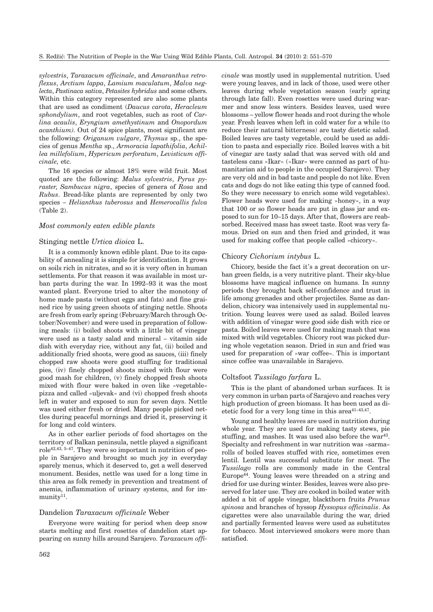*sylvestris*, *Taraxacum officinale*, and *Amaranthus retroflexus*, *Arctium lappa*, *Lamium maculatum*, *Malva neglecta*, *Pastinaca sativa*, *Petasites hybridus* and some others. Within this category represented are also some plants that are used as condiment (*Daucus carota*, *Heracleum sphondylium*, and root vegetables, such as root of *Carlina acaulis*, *Eryngium amethystinum* and *Onopordum acanthium)*. Out of 24 spice plants, most significant are the following: *Origanum vulgare*, *Thymus* sp., the species of genus *Mentha* sp., *Armoracia lapathifolia*, *Achillea millefolium*, *Hypericum perforatum*, *Levisticum officinale,* etc.

The 16 species or almost 18% were wild fruit. Most quoted are the following: *Malus sylvestris*, *Pyrus pyraster*, *Sambucus nigra*, species of genera of *Rosa* and *Rubus*. Bread-like plants are represented by only two species – *Helianthus tuberosus* and *Hemerocallis fulva* (Table 2).

# *Most commonly eaten edible plants*

# Stinging nettle *Urtica dioica* L.

It is a commonly known edible plant. Due to its capability of annealing it is simple for identification. It grows on soils rich in nitrates, and so it is very often in human settlements. For that reason it was available in most urban parts during the war. In 1992–93 it was the most wanted plant. Everyone tried to alter the monotony of home made pasta (without eggs and fats) and fine grained rice by using green shoots of stinging nettle. Shoots are fresh from early spring (February/March through October/November) and were used in preparation of following meals: (i) boiled shoots with a little bit of vinegar were used as a tasty salad and mineral – vitamin side dish with everyday rice, without any fat, (ii) boiled and additionally fried shoots, were good as sauces, (iii) finely chopped raw shoots were good stuffing for traditional pies, (iv) finely chopped shoots mixed with flour were good mash for children, (v) finely chopped fresh shoots mixed with flour were baked in oven like »vegetable« pizza and called »uljevak« and (vi) chopped fresh shoots left in water and exposed to sun for seven days. Nettle was used either fresh or dried. Many people picked nettles during peaceful mornings and dried it, preserving it for long and cold winters.

As in other earlier periods of food shortages on the territory of Balkan peninsula, nettle played a significant role42,43, 5–47. They were so important in nutrition of people in Sarajevo and brought so much joy in everyday sparely menus, which it deserved to, get a well deserved monument. Besides, nettle was used for a long time in this area as folk remedy in prevention and treatment of anemia, inflammation of urinary systems, and for im $munity<sup>11</sup>$ .

# Dandelion *Taraxacum officinale* Weber

Everyone were waiting for period when deep snow starts melting and first rosettes of dandelion start appearing on sunny hills around Sarajevo. *Taraxacum offi-* *cinale* was mostly used in supplemental nutrition. Used were young leaves, and in lack of those, used were other leaves during whole vegetation season (early spring through late fall). Even rosettes were used during warmer and snow less winters. Besides leaves, used were blossoms – yellow flower heads and root during the whole year. Fresh leaves when left in cold water for a while (to reduce their natural bitterness) are tasty dietetic salad. Boiled leaves are tasty vegetable, could be used as addition to pasta and especially rice. Boiled leaves with a bit of vinegar are tasty salad that was served with old and tasteless cans »Ikar« (»Ikar« were canned as part of humanitarian aid to people in the occupied Sarajevo). They are very old and in bad taste and people do not like. Even cats and dogs do not like eating this type of canned food. So they were necessary to enrich some wild vegetables). Flower heads were used for making »honey«, in a way that 100 or so flower heads are put in glass jar and exposed to sun for 10–15 days. After that, flowers are reabsorbed. Received mass has sweet taste. Root was very famous. Dried on sun and then fried and grinded, it was used for making coffee that people called »chicory«.

#### Chicory *Cichorium intybus* L.

Chicory, beside the fact it's a great decoration on urban green fields, is a very nutritive plant. Their sky-blue blossoms have magical influence on humans. In sunny periods they brought back self-confidence and trust in life among grenades and other projectiles. Same as dandelion, chicory was intensively used in supplemental nutrition. Young leaves were used as salad. Boiled leaves with addition of vinegar were good side dish with rice or pasta. Boiled leaves were used for making mash that was mixed with wild vegetables. Chicory root was picked during whole vegetation season. Dried in sun and fried was used for preparation of »war coffee«. This is important since coffee was unavailable in Sarajevo.

# Coltsfoot *Tussilago farfara* L.

This is the plant of abandoned urban surfaces. It is very common in urban parts of Sarajevo and reaches very high production of green biomass. It has been used as dietetic food for a very long time in this area $41-43,47$ .

Young and healthy leaves are used in nutrition during whole year. They are used for making tasty stews, pie stuffing, and mashes. It was used also before the war<sup>43</sup>. Specialty and refreshment in war nutrition was »sarma« rolls of boiled leaves stuffed with rice, sometimes even lentil. Lentil was successful substitute for meat. The *Tussilago* rolls are commonly made in the Central Europe44. Young leaves were threaded on a string and dried for use during winter. Besides, leaves were also preserved for later use. They are cooked in boiled water with added a bit of apple vinegar, blackthorn fruits *Prunus spinosa* and branches of hyssop *Hyssopus officinalis*. As cigarettes were also unavailable during the war, dried and partially fermented leaves were used as substitutes for tobacco. Most interviewed smokers were more than satisfied.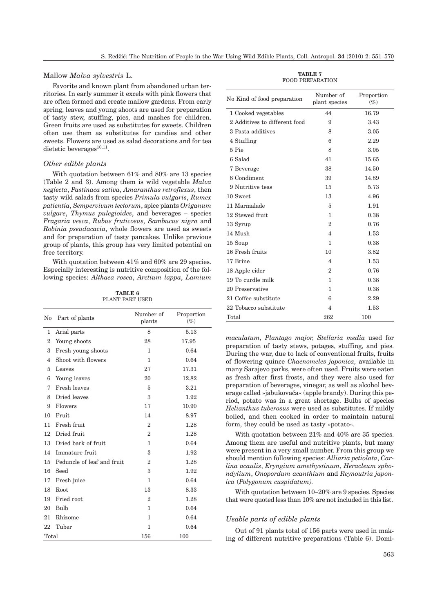# Mallow *Malva sylvestris* L.

Favorite and known plant from abandoned urban territories. In early summer it excels with pink flowers that are often formed and create mallow gardens. From early spring, leaves and young shoots are used for preparation of tasty stew, stuffing, pies, and mashes for children. Green fruits are used as substitutes for sweets. Children often use them as substitutes for candies and other sweets. Flowers are used as salad decorations and for tea dietetic beverages $^{10,11}$ .

# *Other edible plants*

With quotation between 61% and 80% are 13 species (Table 2 and 3). Among them is wild vegetable *Malva neglecta*, *Pastinaca sativa*, *Amaranthus retroflexus*, then tasty wild salads from species *Primula vulgaris*, *Rumex patientia*, *Sempervivum tectorum*, spice plants *Origanum vulgare*, *Thymus pulegioides*, and beverages – species *Fragaria vesca*, *Rubus fruticosus, Sambucus nigra* and *Robinia pseudacacia*, whole flowers are used as sweets and for preparation of tasty pancakes. Unlike previous group of plants, this group has very limited potential on free territory.

With quotation between 41% and 60% are 29 species. Especially interesting is nutritive composition of the following species: *Althaea rosea*, *Arctium lappa*, *Lamium*

**TABLE 6** PLANT PART USED

| No             | Part of plants             | Number of<br>plants | Proportion<br>$(\%)$ |
|----------------|----------------------------|---------------------|----------------------|
| 1              | Arial parts                | 8                   | 5.13                 |
| $\overline{2}$ | Young shoots               | 28                  | 17.95                |
| 3              | Fresh young shoots         | 1                   | 0.64                 |
| 4              | Shoot with flowers         | 1                   | 0.64                 |
| 5              | Leaves                     | 27                  | 17.31                |
| 6              | Young leaves               | 20                  | 12.82                |
| 7              | Fresh leaves               | 5                   | 3.21                 |
| 8              | Dried leaves               | 3                   | 1.92                 |
| 9              | Flowers                    | 17                  | 10.90                |
| 10             | Fruit                      | 14                  | 8.97                 |
| 11             | Fresh fruit                | $\mathbf{2}$        | 1.28                 |
| 12             | Dried fruit                | $\overline{2}$      | 1.28                 |
| 13             | Dried bark of fruit        | 1                   | 0.64                 |
| 14             | Immature fruit             | 3                   | 1.92                 |
| 15             | Peduncle of leaf and fruit | $\overline{2}$      | 1.28                 |
| 16             | Seed                       | 3                   | 1.92                 |
| 17             | Fresh juice                | 1                   | 0.64                 |
| 18             | Root                       | 13                  | 8.33                 |
| 19             | Fried root                 | $\mathbf{2}$        | 1.28                 |
| 20             | Bulb                       | 1                   | 0.64                 |
| 21             | Rhizome                    | 1                   | 0.64                 |
| 22             | Tuber                      | 1                   | 0.64                 |
| Total          |                            | 156                 | 100                  |

**TABLE 7** FOOD PREPARATION

| No Kind of food preparation   | Number of<br>plant species | Proportion<br>$(\%)$ |
|-------------------------------|----------------------------|----------------------|
| 1 Cooked vegetables           | 44                         | 16.79                |
| 2 Additives to different food | 9                          | 3.43                 |
| 3 Pasta additives             | 8                          | 3.05                 |
| 4 Stuffing                    | 6                          | 2.29                 |
| 5 Pie                         | 8                          | 3.05                 |
| 6 Salad                       | 41                         | 15.65                |
| 7 Beverage                    | 38                         | 14.50                |
| 8 Condiment                   | 39                         | 14.89                |
| 9 Nutritive teas              | 15                         | 5.73                 |
| 10 Sweet                      | 13                         | 4.96                 |
| 11 Marmalade                  | 5                          | 1.91                 |
| 12 Stewed fruit               | 1                          | 0.38                 |
| 13 Syrup                      | $\overline{2}$             | 0.76                 |
| 14 Mush                       | 4                          | 1.53                 |
| 15 Soup                       | 1                          | 0.38                 |
| 16 Fresh fruits               | 10                         | 3.82                 |
| 17 Brine                      | 4                          | 1.53                 |
| 18 Apple cider                | $\overline{2}$             | 0.76                 |
| 19 To curdle milk             | 1                          | 0.38                 |
| 20 Preservative               | 1                          | 0.38                 |
| 21 Coffee substitute          | 6                          | 2.29                 |
| 22 Tobacco substitute         | 4                          | 1.53                 |
| Total                         | 262                        | 100                  |

*maculatum*, *Plantago major*, *Stellaria media* used for preparation of tasty stews, potages, stuffing, and pies. During the war, due to lack of conventional fruits, fruits of flowering quince *Chaenomeles japonica,* available in many Sarajevo parks, were often used. Fruits were eaten as fresh after first frosts, and they were also used for preparation of beverages, vinegar, as well as alcohol beverage called »jabukovača« (apple brandy). During this period, potato was in a great shortage. Bulbs of species *Helianthus tuberosus* were used as substitutes. If mildly boiled, and then cooked in order to maintain natural form, they could be used as tasty »potato«.

With quotation between 21% and 40% are 35 species. Among them are useful and nutritive plants, but many were present in a very small number. From this group we should mention following species: *Alliaria petiolata*, *Carlina acaulis*, *Eryngium amethystinum*, *Heracleum sphondylium*, *Onopordum acanthium* and *Reynoutria japonica* (*Polygonum cuspidatum).*

With quotation between 10–20% are 9 species. Species that were quoted less than 10% are not included in this list.

#### *Usable parts of edible plants*

Out of 91 plants total of 156 parts were used in making of different nutritive preparations (Table 6). Domi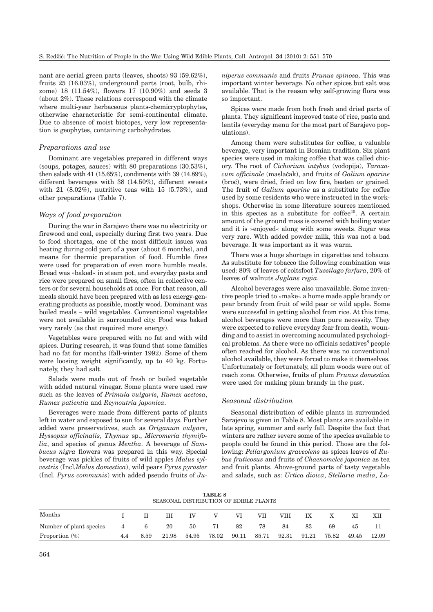nant are aerial green parts (leaves, shoots) 93 (59.62%), fruits 25 (16.03%), underground parts (root, bulb, rhizome) 18 (11.54%), flowers 17 (10.90%) and seeds 3 (about 2%). These relations correspond with the climate where multi-year herbaceous plants-chemicryptophytes, otherwise characteristic for semi-continental climate. Due to absence of moist biotopes, very low representation is geophytes, containing carbohydrates.

# *Preparations and use*

Dominant are vegetables prepared in different ways (soups, potages, sauces) with 80 preparations (30.53%), then salads with 41 (15.65%), condiments with 39 (14.89%), different beverages with 38 (14.50%), different sweets with 21 (8.02%), nutritive teas with 15 (5.73%), and other preparations (Table 7).

# *Ways of food preparation*

During the war in Sarajevo there was no electricity or firewood and coal, especially during first two years. Due to food shortages, one of the most difficult issues was heating during cold part of a year (about 6 months), and means for thermic preparation of food. Humble fires were used for preparation of even more humble meals. Bread was »baked« in steam pot, and everyday pasta and rice were prepared on small fires, often in collective centers or for several households at once. For that reason, all meals should have been prepared with as less energy-generating products as possible, mostly wood. Dominant was boiled meals – wild vegetables. Conventional vegetables were not available in surrounded city. Food was baked very rarely (as that required more energy).

Vegetables were prepared with no fat and with wild spices. During research, it was found that some families had no fat for months (fall-winter 1992). Some of them were loosing weight significantly, up to 40 kg. Fortunately, they had salt.

Salads were made out of fresh or boiled vegetable with added natural vinegar. Some plants were used raw such as the leaves of *Primula vulgaris*, *Rumex acetosa*, *Rumex patientia* and *Reynoutria japonica*.

Beverages were made from different parts of plants left in water and exposed to sun for several days. Further added were preservatives, such as *Origanum vulgare*, *Hyssopus officinalis*, *Thymus* sp., *Micromeria thymifolia*, and species of genus *Mentha*. A beverage of *Sambucus nigra* flowers was prepared in this way. Special beverage was pickles of fruits of wild apples *Malus sylvestris* (Incl*.Malus domestica*), wild pears *Pyrus pyraster* (Incl. *Pyrus communis*) with added pseudo fruits of *Ju-* *niperus communis* and fruits *Prunus spinosa*. This was important winter beverage. No other spices but salt was available. That is the reason why self-growing flora was so important.

Spices were made from both fresh and dried parts of plants. They significant improved taste of rice, pasta and lentils (everyday menu for the most part of Sarajevo populations).

Among them were substitutes for coffee, a valuable beverage, very important in Bosnian tradition. Six plant species were used in making coffee that was called chicory. The root of *Cichorium intybus* (vodopija), *Taraxacum officinale* (masla~ak), and fruits of *Galium aparine* (broć), were dried, fried on low fire, beaten or grained. The fruit of *Galium aparine* as a substitute for coffee used by some residents who were instructed in the workshops. Otherwise in some literature sources mentioned in this species as a substitute for  $cofree<sup>40</sup>$ . A certain amount of the ground mass is covered with boiling water and it is »enjoyed« along with some sweets. Sugar was very rare. With added powder milk, this was not a bad beverage. It was important as it was warm.

There was a huge shortage in cigarettes and tobacco. As substitute for tobacco the following combination was used: 80% of leaves of coltsfoot *Tussilago farfara*, 20% of leaves of walnuts *Juglans regia*.

Alcohol beverages were also unavailable. Some inventive people tried to »make« a home made apple brandy or pear brandy from fruit of wild pear or wild apple. Some were successful in getting alcohol from rice. At this time, alcohol beverages were more than pure necessity. They were expected to relieve everyday fear from death, wounding and to assist in overcoming accumulated psychological problems. As there were no officials sedatives<sup>8</sup> people often reached for alcohol. As there was no conventional alcohol available, they were forced to make it themselves. Unfortunately or fortunately, all plum woods were out of reach zone. Otherwise, fruits of plum *Prunus domestica* were used for making plum brandy in the past.

# *Seasonal distribution*

Seasonal distribution of edible plants in surrounded Sarajevo is given in Table 8. Most plants are available in late spring, summer and early fall. Despite the fact that winters are rather severe some of the species available to people could be found in this period. Those are the following: *Pellargonium graveolens* as spices leaves of *Rubus fruticosus* and fruits of *Chaenomeles japonica* as tea and fruit plants. Above-ground parts of tasty vegetable and salads, such as: *Urtica dioica*, *Stellaria media*, *La-*

**TABLE 8** SEASONAL DISTRIBUTION OF EDIBLE PLANTS

| Months                  |   |      |       |       |       |       | VII   | VHI   | IX    |       |       | XIJ   |
|-------------------------|---|------|-------|-------|-------|-------|-------|-------|-------|-------|-------|-------|
| Number of plant species | 4 |      | 20    | 50    |       | 82    | 78    | 84    | 83    | 69    | 45    |       |
| Proportion $(\%)$       |   | 6.59 | 21.98 | 54.95 | 78.02 | 90.11 | 85.71 | 92.31 | 91.21 | 75.82 | 49.45 | 12.09 |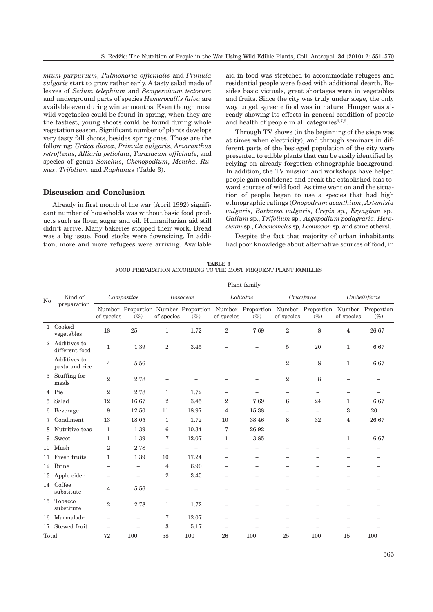*mium purpureum*, *Pulmonaria officinalis* and *Primula vulgaris* start to grow rather early. A tasty salad made of leaves of *Sedum telephium* and *Sempervivum tectorum* and underground parts of species *Hemerocallis fulva* are available even during winter months. Even though most wild vegetables could be found in spring, when they are the tastiest, young shoots could be found during whole vegetation season. Significant number of plants develops very tasty fall shoots, besides spring ones. Those are the following: *Urtica dioica*, *Primula vulgaris*, *Amaranthus retroflexus*, *Alliaria petiolata*, *Taraxacum officinale*, and species of genus *Sonchus*, *Chenopodium*, *Mentha*, *Rumex*, *Trifolium* and *Raphanus* (Table 3).

# **Discussion and Conclusion**

Already in first month of the war (April 1992) significant number of households was without basic food products such as flour, sugar and oil. Humanitarian aid still didn't arrive. Many bakeries stopped their work. Bread was a big issue. Food stocks were downsizing. In addition, more and more refugees were arriving. Available aid in food was stretched to accommodate refugees and residential people were faced with additional dearth. Besides basic victuals, great shortages were in vegetables and fruits. Since the city was truly under siege, the only way to get »green« food was in nature. Hunger was already showing its effects in general condition of people and health of people in all categories $6,7,9$ .

Through TV shows (in the beginning of the siege was at times when electricity), and through seminars in different parts of the besieged population of the city were presented to edible plants that can be easily identified by relying on already forgotten ethnographic background. In addition, the TV mission and workshops have helped people gain confidence and break the established bias toward sources of wild food. As time went on and the situation of people began to use a species that had high ethnographic ratings (*Onopodrum acanthium*, *Artemisia vulgaris*, *Barbarea vulgaris*, *Crepis* sp., *Eryngium* sp., *Galium* sp., *Trifolium* sp., *Aegopodium podagraria*, *Heracleum* sp., *Chaenomeles* sp, *Leontodon* sp. and some others).

Despite the fact that majority of urban inhabitants had poor knowledge about alternative sources of food, in

| TABLE 9                                                        |  |  |  |  |  |  |  |  |  |
|----------------------------------------------------------------|--|--|--|--|--|--|--|--|--|
| FOOD PREPARATION ACCORDING TO THE MOST FRIQUENT PLANT FAMILLES |  |  |  |  |  |  |  |  |  |

|                |                                | Plant family             |                          |                          |                          |                          |                          |                          |                                                                                                     |                          |                          |  |
|----------------|--------------------------------|--------------------------|--------------------------|--------------------------|--------------------------|--------------------------|--------------------------|--------------------------|-----------------------------------------------------------------------------------------------------|--------------------------|--------------------------|--|
| No             | Kind of<br>preparation         | Compositae               |                          | Rosaceae                 |                          | Labiatae                 |                          | Cruciferae               |                                                                                                     | Umbelliferae             |                          |  |
|                |                                | of species               | $(\%)$                   | of species               | $(\%)$                   | of species               | $(\%)$                   | of species               | Number Proportion Number Proportion Number Proportion Number Proportion Number Proportion<br>$(\%)$ | of species               | $(\%)$                   |  |
|                | 1 Cooked<br>vegetables         | 18                       | 25                       | $\mathbf{1}$             | 1.72                     | $\overline{2}$           | 7.69                     | $\overline{2}$           | 8                                                                                                   | $\overline{4}$           | 26.67                    |  |
| $\overline{2}$ | Additives to<br>different food | 1                        | 1.39                     | $\overline{2}$           | 3.45                     |                          |                          | 5                        | 20                                                                                                  | 1                        | 6.67                     |  |
|                | Additives to<br>pasta and rice | $\overline{4}$           | 5.56                     | $\overline{\phantom{0}}$ |                          |                          |                          | $\overline{2}$           | 8                                                                                                   | $\mathbf{1}$             | 6.67                     |  |
| 3              | Stuffing for<br>meals          | $\overline{2}$           | 2.78                     | $\overline{\phantom{a}}$ |                          |                          | $\overline{\phantom{0}}$ | $\overline{2}$           | 8                                                                                                   |                          |                          |  |
| 4              | Pie                            | $\overline{2}$           | 2.78                     | 1                        | 1.72                     | $\equiv$                 |                          | $\overline{\phantom{0}}$ | $\overline{\phantom{0}}$                                                                            | $\overline{\phantom{0}}$ |                          |  |
| 5              | Salad                          | 12                       | 16.67                    | $\overline{2}$           | 3.45                     | $\overline{2}$           | 7.69                     | 6                        | 24                                                                                                  | 1                        | 6.67                     |  |
| 6              | Beverage                       | 9                        | 12.50                    | 11                       | 18.97                    | $\overline{4}$           | 15.38                    | $\equiv$                 |                                                                                                     | 3                        | 20                       |  |
| 7              | Condiment                      | 13                       | 18.05                    | 1                        | 1.72                     | 10                       | 38.46                    | 8                        | 32                                                                                                  | $\overline{4}$           | 26.67                    |  |
| 8              | Nutritive teas                 | 1                        | 1.39                     | 6                        | 10.34                    | 7                        | 26.92                    | $\overline{\phantom{0}}$ | $\overline{\phantom{a}}$                                                                            | $\overline{\phantom{0}}$ | $\overline{\phantom{0}}$ |  |
| 9              | Sweet                          | $\mathbf{1}$             | 1.39                     | 7                        | 12.07                    | $\mathbf{1}$             | 3.85                     | $=$                      | $\overline{\phantom{0}}$                                                                            | 1                        | 6.67                     |  |
| 10             | Mush                           | $\overline{2}$           | 2.78                     | $\overline{\phantom{0}}$ | $\overline{\phantom{0}}$ |                          |                          |                          |                                                                                                     |                          |                          |  |
| 11             | Fresh fruits                   | $\mathbf{1}$             | 1.39                     | 10                       | 17.24                    |                          |                          |                          |                                                                                                     |                          |                          |  |
| 12             | <b>Brine</b>                   | -                        | $\overline{\phantom{0}}$ | 4                        | 6.90                     |                          |                          |                          |                                                                                                     |                          |                          |  |
| 13             | Apple cider                    | -                        | $\overline{\phantom{0}}$ | $\overline{2}$           | 3.45                     | $\overline{\phantom{0}}$ | $\overline{\phantom{0}}$ | -                        |                                                                                                     | $\overline{\phantom{0}}$ |                          |  |
|                | 14 Coffee<br>substitute        | 4                        | 5.56                     | $\overline{\phantom{0}}$ | $\overline{\phantom{0}}$ |                          |                          |                          |                                                                                                     |                          |                          |  |
| 15             | Tobacco<br>substitute          | $\overline{2}$           | 2.78                     | $\mathbf{1}$             | 1.72                     |                          |                          |                          |                                                                                                     |                          |                          |  |
| 16             | Marmalade                      | $\overline{\phantom{0}}$ | $\qquad \qquad -$        | 7                        | 12.07                    | $\overline{\phantom{0}}$ |                          |                          |                                                                                                     | -                        |                          |  |
| 17             | Stewed fruit                   |                          |                          | 3                        | 5.17                     |                          |                          |                          |                                                                                                     |                          |                          |  |
| Total          |                                | 72                       | 100                      | 58                       | 100                      | 26                       | 100                      | 25                       | 100                                                                                                 | 15                       | 100                      |  |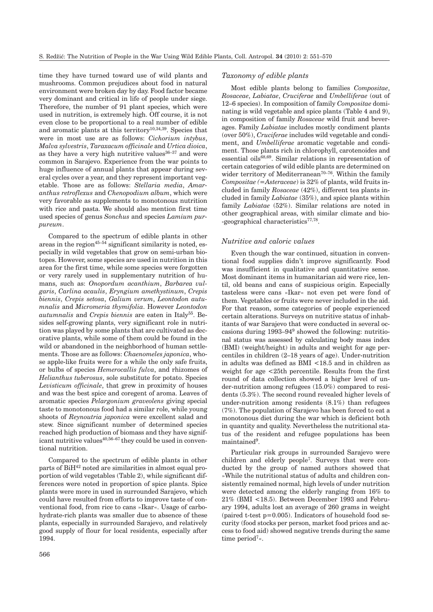time they have turned toward use of wild plants and mushrooms. Common prejudices about food in natural environment were broken day by day. Food factor became very dominant and critical in life of people under siege. Therefore, the number of 91 plant species, which were used in nutrition, is extremely high. Off course, it is not even close to be proportional to a real number of edible and aromatic plants at this territory10,34,39. Species that were in most use are as follows: *Cichorium intybus*, *Malva sylvestris*, *Taraxacum officinale* and *Urtica dioica*, as they have a very high nutritive values  $36-37$  and were common in Sarajevo. Experience from the war points to huge influence of annual plants that appear during several cycles over a year, and they represent important vegetable. Those are as follows: *Stellaria media*, *Amaranthus retroflexus* and *Chenopodium album*, which were very favorable as supplements to monotonous nutrition with rice and pasta. We should also mention first time used species of genus *Sonchus* and species *Lamium purpureum*.

Compared to the spectrum of edible plants in other areas in the region<sup>45-54</sup> significant similarity is noted, especially in wild vegetables that grow on semi-urban biotopes. However, some species are used in nutrition in this area for the first time, while some species were forgotten or very rarely used in supplementary nutrition of humans, such as: *Onopordum acanthium*, *Barbarea vulgaris*, *Carlina acaulis*, *Eryngium amethystinum*, *Crepis biennis*, *Crepis setosa*, *Galium verum*, *Leontodon autumnalis* and *Micromeria thymifolia*. However *Leontodon autumnalis* and *Crepis biennis* are eaten in Italy55. Besides self-growing plants, very significant role in nutrition was played by some plants that are cultivated as decorative plants, while some of them could be found in the wild or abandoned in the neighborhood of human settlements. Those are as follows: *Chaenomeles japonica*, whose apple-like fruits were for a while the only safe fruits, or bulbs of species *Hemerocallis fulva*, and rhizomes of *Helianthus tuberosus*, sole substitute for potato. Species *Levisticum officinale*, that grew in proximity of houses and was the best spice and coregent of aroma. Leaves of aromatic species *Pelargonium graveolens* giving special taste to monotonous food had a similar role, while young shoots of *Reynoutria japonica* were excellent salad and stew. Since significant number of determined species reached high production of biomass and they have significant nutritive values<sup>40,56-67</sup> they could be used in conventional nutrition.

Compared to the spectrum of edible plants in other parts of  $\mathrm{BiH^{42}}$  noted are similarities in almost equal proportion of wild vegetables (Table 2), while significant differences were noted in proportion of spice plants. Spice plants were more in used in surrounded Sarajevo, which could have resulted from efforts to improve taste of conventional food, from rice to cans »Ikar«. Usage of carbohydrate-rich plants was smaller due to absence of these plants, especially in surrounded Sarajevo, and relatively good supply of flour for local residents, especially after 1994.

### *Taxonomy of edible plants*

Most edible plants belong to families *Compositae*, *Rosaceae*, *Labiatae*, *Cruciferae* and *Umbelliferae* (out of 12–6 species). In composition of family *Compositae* dominating is wild vegetable and spice plants (Table 4 and 9), in composition of family *Rosaceae* wild fruit and beverages. Family *Labiatae* includes mostly condiment plants (over 50%), *Cruciferae* includes wild vegetable and condiment, and *Umbelliferae* aromatic vegetable and condiment. Those plants rich in chlorophyll, carotenoides and essential oils<sup>68,69</sup>. Similar relations in representation of certain categories of wild edible plants are determined on wider territory of Mediterranean<sup>70-76</sup>. Within the family *Compositae (=Asteraceae*) is 32% of plants, wild fruits included in family *Rosaceae* (42%), different tea plants included in family *Labiatae* (35%), and spice plants within family *Labiatae* (52%). Similar relations are noted in other geographical areas, with similar climate and bio- -geographical characteristics $77,78$ .

#### *Nutritive and caloric values*

Even though the war continued, situation in conventional food supplies didn't improve significantly. Food was insufficient in qualitative and quantitative sense. Most dominant items in humanitarian aid were rice, lentil, old beans and cans of suspicious origin. Especially tasteless were cans »Ikar« not even pet were fond of them. Vegetables or fruits were never included in the aid. For that reason, some categories of people experienced certain alterations. Surveys on nutritive status of inhabitants of war Sarajevo that were conducted in several occasions during 1993–949 showed the following: nutritional status was assessed by calculating body mass index (BMI) (weight/height) in adults and weight for age percentiles in children (2–18 years of age). Under-nutrition in adults was defined as BMI <18.5 and in children as weight for age <25th percentile. Results from the first round of data collection showed a higher level of under-nutrition among refugees (15.0%) compared to residents (5.3%). The second round revealed higher levels of under-nutrition among residents (8.1%) than refugees (7%). The population of Sarajevo has been forced to eat a monotonous diet during the war which is deficient both in quantity and quality. Nevertheless the nutritional status of the resident and refugee populations has been maintained<sup>9</sup>.

Particular risk groups in surrounded Sarajevo were children and elderly people7. Surveys that were conducted by the group of named authors showed that »While the nutritional status of adults and children consistently remained normal, high levels of under nutrition were detected among the elderly ranging from 16% to 21% (BMI <18.5). Between December 1993 and February 1994, adults lost an average of 260 grams in weight (paired t-test p=0.005). Indicators of household food security (food stocks per person, market food prices and access to food aid) showed negative trends during the same time period<sup>7</sup>«.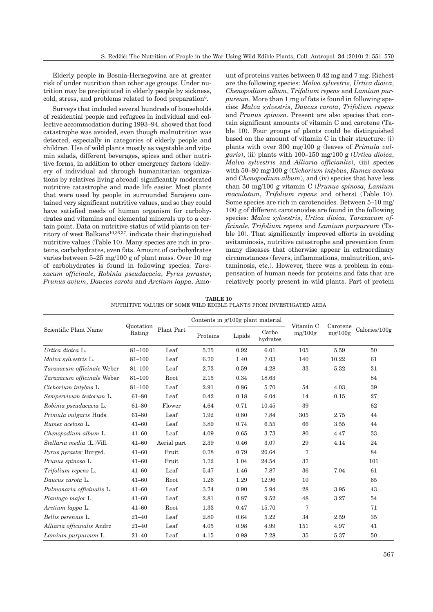Elderly people in Bosnia-Herzegovina are at greater risk of under nutrition than other age groups. Under nutrition may be precipitated in elderly people by sickness, cold, stress, and problems related to food preparation<sup>6</sup>.

Surveys that included several hundreds of households of residential people and refugees in individual and collective accommodation during 1993–94. showed that food catastrophe was avoided, even though malnutrition was detected, especially in categories of elderly people and children. Use of wild plants mostly as vegetable and vitamin salads, different beverages, spices and other nutritive forms, in addition to other emergency factors (delivery of individual aid through humanitarian organizations by relatives living abroad) significantly moderated nutritive catastrophe and made life easier. Most plants that were used by people in surrounded Sarajevo contained very significant nutritive values, and so they could have satisfied needs of human organism for carbohydrates and vitamins and elemental minerals up to a certain point. Data on nutritive status of wild plants on territory of west Balkans<sup>10,36,37</sup>. indicate their distinguished nutritive values (Table 10). Many species are rich in proteins, carbohydrates, even fats. Amount of carbohydrates varies between 5–25 mg/100 g of plant mass. Over 10 mg of carbohydrates is found in following species: *Taraxacum officinale*, *Robinia pseudacacia*, *Pyrus pyraster*, *Prunus avium*, *Daucus carota* and *Arctium lappa*. Amount of proteins varies between 0.42 mg and 7 mg. Richest are the following species: *Malva sylvestris*, *Urtica dioica*, *Chenopodium album*, *Trifolium repens* and *Lamium purpureum*. More than 1 mg of fats is found in following species: *Malva sylvestris*, *Daucus carota*, *Trifolium repens* and *Prunus spinosa*. Present are also species that contain significant amounts of vitamin C and carotene (Table 10). Four groups of plants could be distinguished based on the amount of vitamin C in their structure: (i) plants with over 300 mg/100 g (leaves of *Primula vulgaris*), (ii) plants with 100–150 mg/100 g (*Urtica dioica*, *Malva sylvestris* and *Alliaria officianlis*), (iii) species with 50–80 mg/100 g (*Cichorium intybus*, *Rumex acetosa* and *Chenopodium album*), and (iv) species that have less than 50 mg/100 g vitamin C (*Prunus spinosa*, *Lamium maculatum*, *Trifolium repens* and others) (Table 10). Some species are rich in carotenoides. Between 5–10 mg/ 100 g of different carotenoides are found in the following species: *Malva sylvestris*, *Urtica dioica*, *Taraxacum officinale*, *Trifolium repens* and *Lamium purpureum* (Table 10). That significantly improved efforts in avoiding avitaminosis, nutritive catastrophe and prevention from many diseases that otherwise appear in extraordinary circumstances (fevers, inflammations, malnutrition, avitaminosis, etc.). However, there was a problem in compensation of human needs for proteins and fats that are relatively poorly present in wild plants. Part of protein

**TABLE 10** NUTRITIVE VALUES OF SOME WILD EDIBLE PLANTS FROM INVESTIGATED AREA

|                               |                     |             | Contents in $g/100g$ plant material |        |                   |                      |                     |               |
|-------------------------------|---------------------|-------------|-------------------------------------|--------|-------------------|----------------------|---------------------|---------------|
| Scientific Plant Name         | Quotation<br>Rating | Plant Part  | Proteins                            | Lipids | Carbo<br>hydrates | Vitamin C<br>mg/100g | Carotene<br>mg/100g | Calories/100g |
| Urtica dioica L.              | $81 - 100$          | Leaf        | 5.75                                | 0.92   | 6.01              | 105                  | 5.59                | 50            |
| Malva sylvestris L.           | $81 - 100$          | Leaf        | 6.70                                | 1.40   | 7.03              | 140                  | 10.22               | 61            |
| Taraxacum officinale Weber    | $81 - 100$          | Leaf        | 2.73                                | 0.59   | 4.28              | 33                   | 5.32                | 31            |
| Taraxacum officinale Weber    | $81 - 100$          | Root        | 2.15                                | 0.34   | 18.63             |                      |                     | 84            |
| Cichorium intybus L.          | 81-100              | Leaf        | 2.91                                | 0.86   | 5.70              | 54                   | 4.03                | 39            |
| Sempervivum tectorum L.       | $61 - 80$           | Leaf        | 0.42                                | 0.18   | 6.04              | 14                   | 0.15                | 27            |
| Robinia pseudacacia L.        | $61 - 80$           | Flower      | 4.64                                | 0.71   | 10.45             | 39                   |                     | 62            |
| Primula vulgaris Huds.        | $61 - 80$           | Leaf        | 1.92                                | 0.80   | 7.84              | 305                  | 2.75                | 44            |
| Rumex acetosa L.              | $41 - 60$           | Leaf        | 3.89                                | 0.74   | 6.55              | 66                   | 3.55                | 44            |
| Chenopodium album L.          | $41 - 60$           | Leaf        | 4.09                                | 0.65   | 3.73              | 80                   | 4.47                | 33            |
| Stellaria media (L.)Vill.     | $41 - 60$           | Aerial part | 2.39                                | 0.46   | 3.07              | 29                   | 4.14                | 24            |
| <i>Pyrus pyraster Burgsd.</i> | $41 - 60$           | Fruit       | 0.78                                | 0.79   | 20.64             | 7                    |                     | 84            |
| Prunus spinosa L.             | $41 - 60$           | Fruit       | 1.72                                | 1.04   | 24.54             | 37                   |                     | 101           |
| Trifolium repens L.           | $41 - 60$           | Leaf        | 5.47                                | 1.46   | 7.87              | 36                   | 7.04                | 61            |
| Daucus carota L.              | $41 - 60$           | Root        | 1.26                                | 1.29   | 12.96             | 10                   |                     | 65            |
| Pulmonaria officinalis L.     | $41 - 60$           | Leaf        | 3.74                                | 0.90   | 5.94              | 28                   | 3.95                | 43            |
| Plantago major L.             | $41 - 60$           | Leaf        | 2.81                                | 0.87   | 9.52              | 48                   | 3.27                | 54            |
| Arctium lappa L.              | $41 - 60$           | Root        | 1.33                                | 0.47   | 15.70             | 7                    |                     | 71            |
| Bellis perennis L.            | $21 - 40$           | Leaf        | 2.80                                | 0.64   | 5.22              | 34                   | 2.59                | 35            |
| Alliaria officinalis Andrz    | $21 - 40$           | Leaf        | 4.05                                | 0.98   | 4.99              | 151                  | 4.97                | 41            |
| Lamium purpureum L.           | $21 - 40$           | Leaf        | 4.15                                | 0.98   | 7.28              | 35                   | 5.37                | 50            |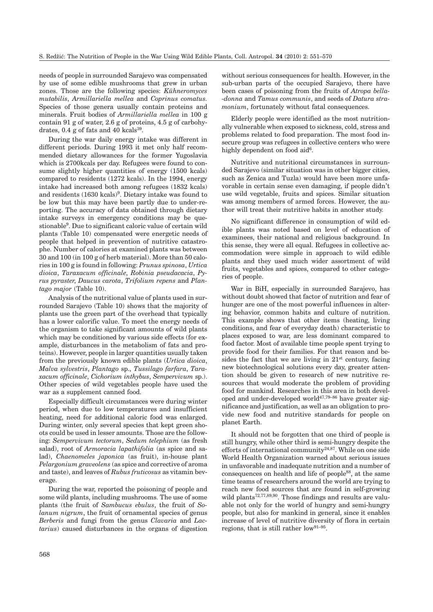needs of people in surrounded Sarajevo was compensated by use of some edible mushrooms that grew in urban zones. Those are the following species: *Kühneromyces mutabilis*, *Armillariella mellea* and *Coprinus comatus.* Species of those genera usually contain proteins and minerals. Fruit bodies of *Armillariella mellea* in 100 g contain 91 g of water, 2.6 g of proteins, 4.5 g of carbohydrates,  $0.4$  g of fats and  $40$  kcals<sup>39</sup>.

During the war daily energy intake was different in different periods. During 1993 it met only half recommended dietary allowances for the former Yugoslavia which is 2700kcals per day. Refugees were found to consume slightly higher quantities of energy (1500 kcals) compared to residents (1272 kcals). In the 1994, energy intake had increased both among refugees (1832 kcals) and residents (1630 kcals)<sup>9</sup>. Dietary intake was found to be low but this may have been partly due to under-reporting. The accuracy of data obtained through dietary intake surveys in emergency conditions may be questionable9. Due to significant caloric value of certain wild plants (Table 10) compensated were energetic needs of people that helped in prevention of nutritive catastrophe. Number of calories at examined plants was between 30 and 100 (in 100 g of herb material). More than 50 calories in 100 g is found in following: *Prunus spinosa*, *Urtica dioica*, *Taraxacum officinale*, *Robinia pseudacacia*, *Pyrus pyraster*, *Daucus carota*, *Trifolium repens* and *Plantago major* (Table 10).

Analysis of the nutritional value of plants used in surrounded Sarajevo (Table 10) shows that the majority of plants use the green part of the overhead that typically has a lower calorific value. To meet the energy needs of the organism to take significant amounts of wild plants which may be conditioned by various side effects (for example, disturbances in the metabolism of fats and proteins). However, people in larger quantities usually taken from the previously known edible plants (*Urtica dioica*, *Malva sylvestris*, *Plantago* sp., *Tussilago farfara*, *Taraxacum officinale*, *Cichorium inthybus*, *Sempervivum* sp.). Other species of wild vegetables people have used the war as a supplement canned food.

Especially difficult circumstances were during winter period, when due to low temperatures and insufficient heating, need for additional caloric food was enlarged. During winter, only several species that kept green shoots could be used in lesser amounts. Those are the following: *Sempervivum tectorum*, *Sedum telephium* (as fresh salad), root of *Armoracia lapathifolia* (as spice and salad), *Chaenomeles japonica* (as fruit), in-house plant *Pelargonium graveolens* (as spice and corrective of aroma and taste), and leaves of *Rubus fruticosus* as vitamin beverage.

During the war, reported the poisoning of people and some wild plants, including mushrooms. The use of some plants (the fruit of *Sambucus ebulus*, the fruit of *Solanum nigrum*, the fruit of ornamental species of genus *Berberis* and fungi from the genus *Clavaria* and *Lactarius*) caused disturbances in the organs of digestion without serious consequences for health. However, in the sub-urban parts of the occupied Sarajevo, there have been cases of poisoning from the fruits of *Atropa bella- -donna* and *Tamus communis*, and seeds of *Datura stramonium*, fortunately without fatal consequences.

Elderly people were identified as the most nutritionally vulnerable when exposed to sickness, cold, stress and problems related to food preparation. The most food insecure group was refugees in collective centers who were highly dependent on food aid<sup>6</sup>.

Nutritive and nutritional circumstances in surrounded Sarajevo (similar situation was in other bigger cities, such as Zenica and Tuzla) would have been more unfavorable in certain sense even damaging, if people didn't use wild vegetable, fruits and spices. Similar situation was among members of armed forces. However, the author will treat their nutritive habits in another study.

No significant difference in consumption of wild edible plants was noted based on level of education of examinees, their national and religious background. In this sense, they were all equal. Refugees in collective accommodation were simple in approach to wild edible plants and they used much wider assortment of wild fruits, vegetables and spices, compared to other categories of people.

War in BiH, especially in surrounded Sarajevo, has without doubt showed that factor of nutrition and fear of hunger are one of the most powerful influences in altering behavior, common habits and culture of nutrition. This example shows that other items (heating, living conditions, and fear of everyday death) characteristic to places exposed to war, are less dominant compared to food factor. Most of available time people spent trying to provide food for their families. For that reason and besides the fact that we are living in  $21<sup>st</sup>$  century, facing new biotechnological solutions every day, greater attention should be given to research of new nutritive resources that would moderate the problem of providing food for mankind. Researches in this area in both developed and under-developed world $47,79-86$  have greater significance and justification, as well as an obligation to provide new food and nutritive standards for people on planet Earth.

It should not be forgotten that one third of people is still hungry, while other third is semi-hungry despite the efforts of international community<sup>24,87</sup>. While on one side World Health Organization warned about serious issues in unfavorable and inadequate nutrition and a number of consequences on health and life of people<sup>88</sup>, at the same time teams of researchers around the world are trying to reach new food sources that are found in self-growing wild plants<sup>72,77,89,90</sup>. Those findings and results are valuable not only for the world of hungry and semi-hungry people, but also for mankind in general, since it enables increase of level of nutritive diversity of flora in certain regions, that is still rather low91–95.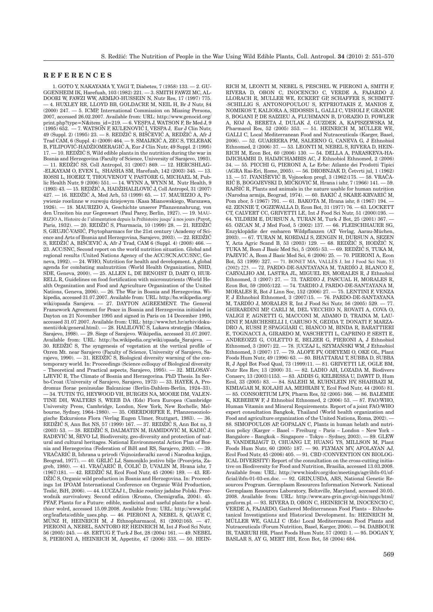# **REFERENCES**

1. GOTO Y, NAKAYAMA Y, YAGI T, Diabetes,  $7(1958)$  133.  $-2$ . GU-GGENHEIM IK, Harefuah, 103 (1982) 221. — 3. SMITH FAWZI MC, AL-DOORI W, FAWZI WW, ARMIJO-HUSSEIN N, Nutr Res, 17 (1997) 775. — 4. HUXLEY RR, LLOYD BB, GOLDACRE M, NEIL H, Br J Nutr, 84 (2000) 247. — 5. ICMP, International Commission on Missing Persons, 2007, accessed 26.02.2007. Available from: URL: http://www.genocid.org/ print.php?type=N&item\_id=219. — 6. VESPA J, WATSON F, Br Med J, 9  $(1995)$  652.  $-7$ . WATSON F, KULENOVIĆ I, VESPA J, Eur J Clin Nutr, 49 (Suppl. 2) (1995) 23.  $-8$ . REDŽIĆ S, BIŠČEVIĆ A, REDŽIĆ A, Afr J Trad CAM,  $6$  (Suppl. 4) (2009) 464. - 9. SMAIJKIĆ A, ZEC S, TELEBAK B, FILIPOVIĆ-HADŽIOMERAGIĆ A, Eur J Clin Nutr, 49 Suppl. 2 (1995)  $17. - 10$ . REDŽIĆ S, Wild edible plants in the nutrition during the war in Bosnia and Herzegovina (Faculty of Science, University of Sarajevo, 1993). 11. REDŽIĆ SS, Coll Antropol, 31 (2007) 869. - 12. HERCSHLAG--ELKAYAM O, EVEN L, SHASHA SM, Harefuah, 142 (2003) 345. — 13. ROSSI L, HOERZ T, THOUVENOT V, PASTORE G, MICHAEL M, Public Health Nutr, 9 (2006) 551. — 14. WYNN A, WYNN M, Nutr Health, 9 (1993) 43. - 15. REDŽIĆ A, HADŽIHALILOVIĆ J, Coll Antropol, 31 (2007)  $427. - 16.$  REDŽIĆ A, Med Arh, 53 (1999) 65. - 17. MAURIZIO A, Poywienie roœlinne w rozwoju dziejowym (Kasa Mianowskiego, Warszawa, 1926). — 18. MAURIZIO A, Geschichte unserer Pflanzennahrung, von den Urzeiten bis zur Gegenwart (Paul Parey, Berlin, 1927). — 19. MAU-RIZIO A, Histoire de l'alimentation depuis la Préhistoire jusqu' à nos jours (Payot, Paris, 1932). — 20. REDŽIĆ S, Pharmacia, 10 (1999) 28. — 21. REDŽIĆ S, GRUJIĆ-VASIĆ, Phytopharmacs for the 21st century (Academy of Science and Arts of Bosnia and Herzegovina, Sarajevo, 2003).  $-$  22. REDŽIĆ S, REDŽIĆ A, BIŠĆEVIĆ A, Afr J Trad, CAM 6 (Suppl. 4) (2008) 466. 23. ACC/SNC, Second report on the world nutrition situation. Global and regional results (United Nations Agency of the ACC/SCN.ACC/SNC, Geneva, 1992). — 24. WHO, Nutrition for health and development. A global agenda for combating malnutrition (World Health Organization, NHD, SDE, Geneva, 2000). — 25. ALLEN L, DE BENOIST D, DARY O, HUR-RELL R, Guidelines on food fortification with micronutrients (World Health Organization and Food and Agriculture Organization of the United Nations, Geneva, 2006). — 26. The War in Bosnia and Herzegovina. Wikipedia, accessed 31.07.2007. Available from: URL: http://bs.wikipedia.org/ wiki/opsada Sarajeva. — 27. DAYTON AGREEMENT. The General Framework Agreement for Peace in Bosnia and Herzegovina initialed in Dayton on 21 November 1995 and signed in Paris on 14 December 1995, accessed 31.07.2007. Available from: URL: http://www.hrt.hr/arhiv/dokumenti/dok/general.html). — 28. HALILOVIĆ S, Lukava strategija (Matica, Sarajevo, 1998). — 29. Siege of Sarajevo. Wikipedia, accessed 31.07.2007. Available from: URL: http://bs.wikipedia.org/wiki/opsada\_Sarajeva. — 30. REDŽIĆ S, The syngenesis of vegetation at the vertical profile of Ozren Mt. near Sarajevo (Faculty of Science, University of Sarajevo, Sarajevo, 1990). — 31. REDŽIĆ S, Biological diversity warning of the contemporary world. In: Proceedings (Science colloquy of Biological diversity – Theoretical and Practical aspects, Sarajevo, 1995). — 32. MILOSAV-LJEVIĆ R, The Climate of Bosnia and Herzegovina. PhD Thesis. In Serbo-Croat (University of Sarajevo, Sarajevo, 1973) — 33. HAYEK A, Prodromus florae peninsulae Balcanicae (Berlin-Dahlem-Berlin, 1924–33). — 34. TUTIN TG, HEYWOOD VH, BURGES NA, MOORE DM, VALEN-TINE DH, WALTERS S, WEEB DA (Eds) Flora Europea (Cambridge University Press, Cambridge, London, New York, New Rochelle, Melbourne, Sydney, 1964–1980). — 35. OBERDORFER E, Pflanzensoziologische Exkursions Flora (Verlag Eugen Ulmer, Stuttgart, 1983). — 36. REDŽIĆ S, Ann Bot NS, 57 (1999) 167. — 37. REDŽIĆ S, Ann Bot ns, 3  $(2003)$  53.  $-$  38. REDŽIĆ S, DALMATIN M, HAMIDOVIĆ M, KADIĆ J, RADEVIĆ M, ŠEVO LJ, Biodiversity, geo-diversity and protection of natural and cultural heritages. National Environmental Action Plan of Bosnia and Herzegovina (Federation of BiH and RS, Sarajevo, 2003). VRAČARIĆ B, Ishrana u prirodi (Vojnoizdavački zavod i Narodna knjiga, Beograd, 1977). — 40. GRLIĆ LJ, Samoniklo jestivo bilje (Prosvjeta, Zagreb, 1980). — 41. VRAČARIĆ B, ČOLIĆ D, UVALIN M, Hrana ishr, 7  $(1967)181. - 42.$  REDŽIĆ SJ, Ecol Food Nutr, 45 (2006) 189. - 43. RE-DŽIĆ S, Organic wild production in Bosnia and Herzegovina. In: Proceedings 1st IFOAM International Conference on Organic Wild Production, Tesli}, BiH, 2006). — 44. £UCZAJ £, Dzikie roœliny jadalne Polski. Przewodnik survivalowy. Second edition (Krosno, Chemigrafia, 2004). 45. PFAF, Plants for a Future: edible, medicinal and useful plants for a healthier wolrd, accessed 15.09.2008. Available from: URL: http://www.pfaf. org/leaflets/edible\_uses.php. — 46. PIERONI A, NEBEL S, QUAVE C, MÜNZ H, HEINRICH M, J Ethnopharmacol, 81 (2002)165. — 47. PIERONI A, NEBEL, SANTORO RF, HEINRICH M, Int J Food Sci Nutr, 56 (2005) 245. — 48. ERTUG F, Turk J Bot, 28 (2004) 161. — 49. NEBEL S, PIERONI A, HEINRICH M, Appetite, 47 (2006) 333. — 50. HEIN-

RICH M, LEONTI M, NEBEL S, PESCHEL W, PIERONI A, SMITH F, RIVERA D, OBON C, INOCENCIO C, VERDE A, FAJARDO J, LLORACH R, MULLER WE, ECKERT GP, SCHAFFER S, SCHMITT- -SCHILLIG S, ANTONOPOULOU S, KYPRIOTAKIS Z, MANIOS Z, NOMIKOS T, KALIORA A, SIDOSSIS L, GALLI C, VISIOLI F, GRANDE S, BOGANI P, DE SAIZIEU A, FLUHMANN B, D'ORAZIO D, FOWLER A, KOJ A, BERETA J, DULAK J, GUZDEK A, KAPISZEWSKA M, Pharmacol Res, 52 (2005) 353. — 51. HEINRICH M, MÜLLER WE, GALLI C, Local Mediterranean Food and Nutraceuticals (Karger, Basel, 2006). — 52. GUARRERA PM, SALERNO G, CANEVA G, J Ethnobiol Ethnomed, 2 (2006) 37. — 53. LEONTI M, NEBEL S, RIVERA D, HEIN-RICH M, Econ Bot, 60 (2006) 130. — 54. DELLA A, PARASKEVA-HA-DJICHAMBI D, HADJICHAMBIS AC, J Ethnobiol Ethnomed, 2 (2006) 34. — 55. PICCHI G, PIERONI A, Le Erbe: Atlante dei Prodotti Tipici (AGRA Rai-Eri, Rome, 2005). — 56. DROBNJAK D, Četvrti jul, 1 (1962) – 57. IVANIŠEVIĆ B, Vojnoekon pregl, 3 (1962)175. — 58. VRAČA-RIĆ B, BOGOJEVSKI D, MIČKOVIĆ M, Hrana i ishr, 7 (1966) 141. - 59. RAJŠIĆ R, Plants and animals in the nature usable for human nutrition (Narodna armija, Beograd, 1974). - 60. BAKIĆ J, SKARE-KRVARIĆ M, Pom zbor, 5 (1967) 791. — 61. BAKOTA M, Hrana ishr, 8 (1967) 194. 62. ZENNIE T, OGZEWALLA D, Econ Bot, 31 (1977) 76. — 63. LOCKETT CT, CALVERT CC, GRIVETTI LE, Int J Food Sci Nutr, 51 (2000)195. — 64. YILDRIM E, DURSUN A, TURAN M, Turk J Bot, 25 (2001) 367. — 65. OZCAN M, J Med Food, 5 (2002) 137. — 66. FLEISCHHAUER SG, Enzyklopädie der essbaren Wildpflanzen (AT Verlag, Aarau-Müchen, 2003). — 67. TURAN M, KORDALI S, ZENGIN H, DURSUN A, SEZEN Y, Acta Agric Scand B, 53 (2003)  $129. -68$ , REDŽIĆ S, HODŽIĆ N, TUKA M, Bosn J Basic Med Sci, 5 (2005) 53. - 69. REDŽIĆ S, TUKA M, PAJEVIĆ A, Bosn J Basic Med Sci, 6 (2006) 25. - 70. PIERONI A, Econ Bot, 53 (1999) 327. — 71. BONET MA, VALLÈS J, Int J Food Sci Nutr, 53 (2002) 225. — 72. PARDO-DE-SANTAYANA M, TARDÍO J, BLANCO E, CARVALHO AM, LASTRA JL, MIGUEL ES, MORALES R, J Ethnobiol Ethnomed, 3 (2007) 27. — 73. TARDIO J, PASCUAL H, MORALES R, Econ Bot, 59 (2005)122. — 74. TARDIO J, PARDO-DE-SANTAYANA M, MORALES R, Bot J Linn Soc, 152 (2006) 27. — 75. LENTINI F, VENZA F, J Ethnobiol Ethnomed, 3 (2007)15. — 76. PARDO-DE-SANTAYANA M, TARDÍO J, MORALES R, Int J Food Sci Nutr, 56 (2005) 529. — 77. GHIRARDINI MP, CARLI M, DEL VECCHIO N, ROVATI A, COVA O, VALIGI F, AGNETTI G, MACCONI M, ADAMO D, TRAINA M, LAU-DINI F, MARCHESELLI I, CARUSO N, GEDDA T, DONATI F, MARZA-DRO A, RUSSI P, SPAGGIARI C, BIANCO M, BINDA R, BARATTIERI E, TOGNACCI A, GIRARDO M, VASCHETTI L, CAPRINO P, SESTI E, ANDREOZZI G, COLETTO E, BELZER G, PIERONI A, J Ethnobiol Ethnomed, 3 (2007) 22. — 78. JUCZAJ L, SZYMANSKI WM, J Ethnobiol Ethnomed, 3 (2007) 17. — 79. ALOFE FV, ODEYEMI O, OKE OL, Plant Foods Hum Nutr, 49 (1996) 63. — 80. BHATTARAI T, SUBBA D, SUBBA R, J Appl Bot Food Qual, 73 (1999)11. — 81. GRIVETTI LE, OGLE BM Nutr Res Rev, 13 (2000) 31. — 82. LADIO AH, LOZADA M, Biodivers Conserv, 13 (2003)1153. — 83. ADDIS G, KELBESSA U, DAWIT D, Hum Ecol, 33 (2005) 83. — 84. SALEHI M, KUHNLEIN HV, SHAHBAZI M, KIMIAGAR M, KOLAHI AA, MEHRABI Y, Ecol Food Nutr, 44 (2005) 81. — 85. CONSORTIUM LFN, Pharm Res, 52 (2005) 366. — 86. BALEMIE K, KEBEBEW F, J Ethnobiol Ethnomed, 2 (2006) 53. — 87. FAO/WHO, Human Vitamin and Mineral Requirements. Report of a joint FAO/WHO expert consultation Bangkok, Thailand (World health organization and Food and agriculture organization of the United Nations, Roma, 2002). -88. SIMOPOULOS AP, GOPALAN C, Plants in human helath and nutrition policy (Karger – Basel – Freiburg – Paris – London – New York – Bangalore – Bangkok – Singapore – Tokyo – Sydney, 2003). — 89. GLEW R, VANDERJAGT D, CHUANG LT, HUANG YS, MILLSON M, Plant Foods Hum Nutr, 60 (2005) 187. — 90. FLYMAN MV, AFOLAYAN AJ, Ecol Food Nutr, 45 (2006) 405. — 91. CBD (CONVENTION ON BIOLOG-ICAL DIVERSITY) Report of the consultation on the cross-cutting initiative on Biodiversity for Food and Nutrition, Brasilia, accessed 13.03.2008. Available from: URL: http://www.biodiv.org/doc/meetings/agr/ibfn-01/official/ibfn-01-03-en.doc. — 92. GRIN,USDA, ARS, National Genetic Resources Program. Germplasm Resources Information Network. National Germplasm Resources Laboratory, Beltsville, Maryland, accessed 30.05. 2008. Available from: URL: http://www.ars-grin.gov/cgi-bin/npgs/html/ genform.pl. — 93. RIVERA D, OBON C, HEINRICH M, INOCENCIO C, VERDE A, FAJARDO, Gathered Mediterranean Food Plants – Ethnobotanical Investigations and Historical Development. In: HEINRICH M, MÜLLER WE, GALLI C (Eds) Local Mediterranean Food Plants and Nutraceuticals (Forum Nutrition, Basel, Karger, 2006). — 94. DABBOUR IR, TAKRURI HR, Plant Foods Hum Nutr, 57 (2002) 1. — 95. DOGAN Y, BASLAR S, AY G, MERT HH, Econ Bot, 58 (2004) 684.